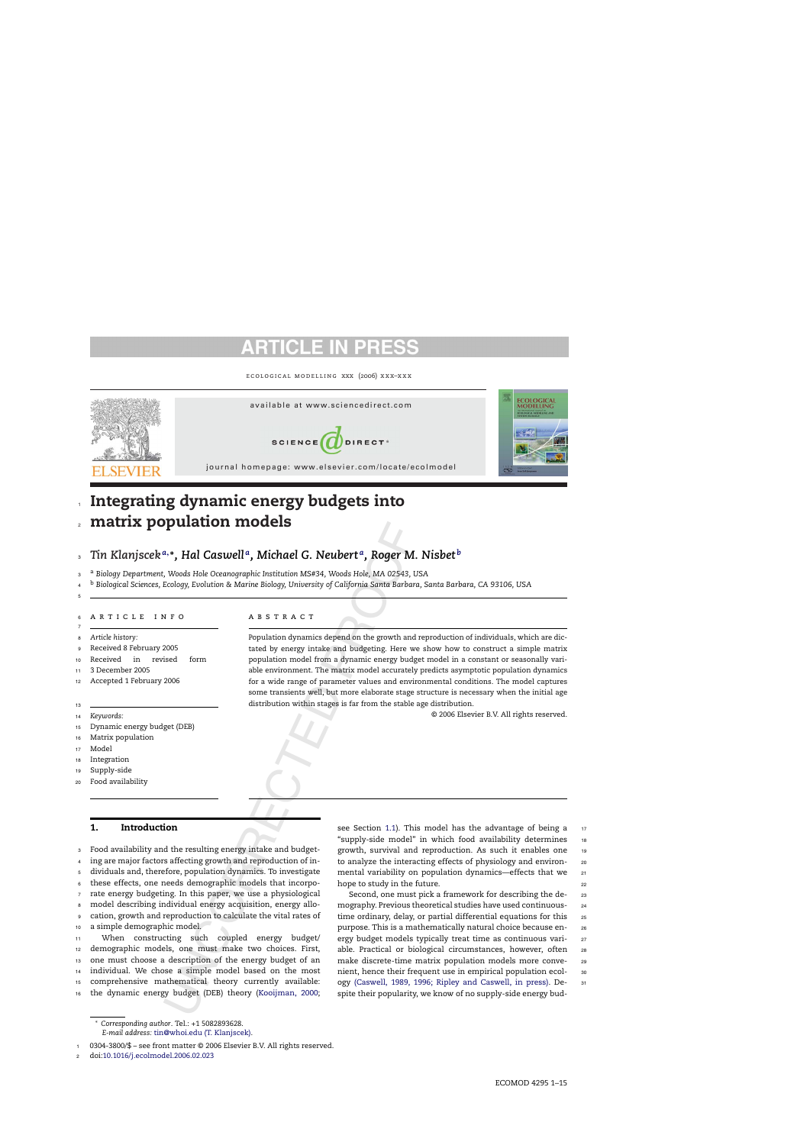E COLOGICAL MODELLING XXX (2006) XXX-XXX



# **Integrating dynamic energy budgets into matrix population models** 1

# *Tin Klanjscek* **a,∗***, Hal Caswell* **<sup>a</sup>***, Michael G. Neubert* **<sup>a</sup>***, Roger M. Nisbet* **<sup>b</sup>** <sup>3</sup>

- <sup>a</sup> <sup>3</sup> *Biology Department, Woods Hole Oceanographic Institution MS#34, Woods Hole, MA 02543, USA*
- <sup>b</sup> <sup>4</sup> *Biological Sciences, Ecology, Evolution & Marine Biology, University of California Santa Barbara, Santa Barbara, CA 93106, USA*

### <sup>6</sup> article info

<sup>8</sup> *Article history:*

2

5

7

13

<sup>9</sup> Received 8 February 2005

- Received in revised form 10
- 3 December 2005 11
- <sup>12</sup> Accepted 1 February 2006

# <sup>14</sup> *Keywords:*

- <sup>15</sup> Dynamic energy budget (DEB)
- <sup>16</sup> Matrix population
- <sup>17</sup> Model
- <sup>18</sup> Integration
- <sup>19</sup> Supply-side
- <sup>20</sup> Food availability

### abstract

Population dynamics depend on the growth and reproduction of individuals, which are dictated by energy intake and budgeting. Here we show how to construct a simple matrix population model from a dynamic energy budget model in a constant or seasonally variable environment. The matrix model accurately predicts asymptotic population dynamics for a wide range of parameter values and environmental conditions. The model captures some transients well, but more elaborate stage structure is necessary when the initial age distribution within stages is far from the stable age distribution.

© 2006 Elsevier B.V. All rights reserved.

# **1. Introduction**

**PURENCIP INCORETS**<br> **E. F. And Caswell<sup>a</sup>, Michael G. Neubert<sup>a</sup>, Roger M.<br>
Woods Hole Oceanographic Institution MS#34, Woods Hole, MA 02543, U<br>
Ecology, Evolution & Marine Biology, University of California Santa Barbar** <sup>3</sup> Food availability and the resulting energy intake and budgeting are major factors affecting growth and reproduction of individuals and, therefore, population dynamics. To investigate <sup>6</sup> these effects, one needs demographic models that incorpo-<sup>7</sup> rate energy budgeting. In this paper, we use a physiological model describing individual energy acquisition, energy allo-<sup>9</sup> cation, growth and reproduction to calculate the vital rates of <sup>10</sup> a simple demographic model.

When constructing such coupled energy budget/ demographic models, one must make two choices. First, one must choose a description of the energy budget of an individual. We chose a simple model based on the most comprehensive mathematical theory currently available: the dynamic energy budget (DEB) theory (Kooijman, 2000;

<sup>∗</sup> *Corresponding author*. Tel.: +1 5082893628. *E-mail address:* [tin@whoi.edu \(T. Klanjscek\).](mailto:tin@whoi.edu (T. Klanjscek))

0304-3800/\$ – see front matter © 2006 Elsevier B.V. All rights reserved.

<sup>2</sup> doi:[10.1016/j.ecolmodel.2006.02.023](dx.doi.org/10.1016/j.ecolmodel.2006.02.023)

see Section 1.1). This model has the advantage of being a  $17$ "supply-side model" in which food availability determines <sup>18</sup> growth, survival and reproduction. As such it enables one <sup>19</sup> to analyze the interacting effects of physiology and environ-<br>20 mental variability on population dynamics—effects that we 21 hope to study in the future.

Second, one must pick a framework for describing the de-<br>
23 mography. Previous theoretical studies have used continuous- <sup>24</sup> time ordinary, delay, or partial differential equations for this  $25$ purpose. This is a mathematically natural choice because en- <sup>26</sup> ergy budget models typically treat time as continuous vari-<br>27 able. Practical or biological circumstances, however, often 28 make discrete-time matrix population models more conve-<br>29 nient, hence their frequent use in empirical population ecol-<br>30 ogy (Caswell, 1989, [1996; Ripley and Caswell, in press\).](#page-13-0) De- <sup>31</sup> spite their popularity, we know of no supply-side energy bud-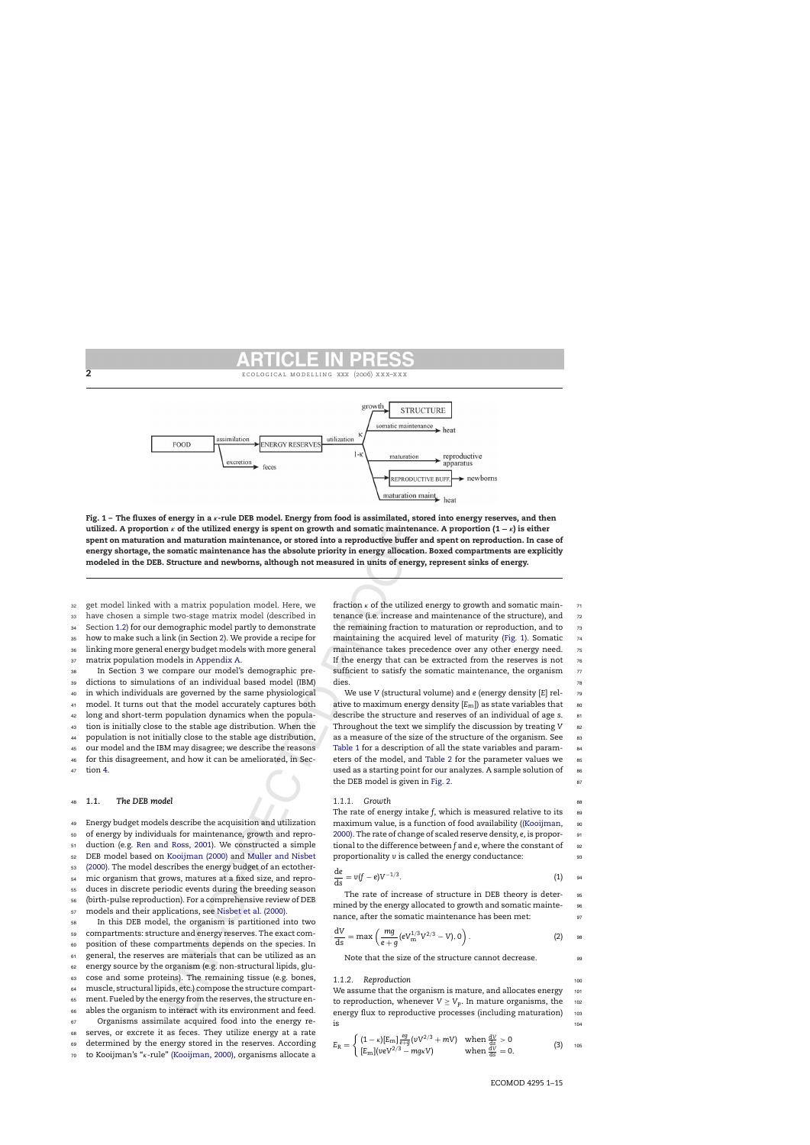<span id="page-1-0"></span>**2** ecological modelling xxx (2006) xxx-xxx



**Fig. 1 – The fluxes of energy in a -rule DEB model. Energy from food is assimilated, stored into energy reserves, and then utilized.** A proportion  $\kappa$  of the utilized energy is spent on growth and somatic maintenance. A proportion  $(1 - \kappa)$  is either **spent on maturation and maturation maintenance, or stored into a reproductive buffer and spent on reproduction. In case of energy shortage, the somatic maintenance has the absolute priority in energy allocation. Boxed compartments are explicitly modeled in the DEB. Structure and newborns, although not measured in units of energy, represent sinks of energy.**

 get model linked with a matrix population model. Here, we have chosen a simple two-stage matrix model (described in Section [1.2\) f](#page-2-0)or our demographic model partly to demonstrate how to make such a link (in Section 2). We provide a recipe for linking more general energy budget models with more general matrix population models in Appendix A.

n *x* of the utilized energy is spent on growth and somatic mainten<br>and *n* and *n* and maturation maintenance, or stored ito a reproductive biffered symmatic maintenance and newborns, although not measured in units of en In Section [3](#page-5-0) we compare our model's demographic pre- dictions to simulations of an individual based model (IBM) in which individuals are governed by the same physiological 41 model. It turns out that the model accurately captures both long and short-term population dynamics when the popula- tion is initially close to the stable age distribution. When the population is not initially close to the stable age distribution, our model and the IBM may disagree; we describe the reasons for this disagreement, and how it can be ameliorated, in Sec-<sup>47</sup> tion [4.](#page-11-0)

### <sup>48</sup> *1.1. The DEB model*

 Energy budget models describe the acquisition and utilization of energy by individuals for maintenance, growth and repro- duction (e.g. [Ren and Ross,](#page-13-0) 2001). We constructed a simple DEB model based on Kooijman (2000) and Muller and Nisbet [\(2000\). T](#page-13-0)he model describes the energy budget of an ectother- mic organism that grows, matures at a fixed size, and repro- duces in discrete periodic events during the breeding season (birth-pulse reproduction). For a comprehensive review of DEB models and their applications, see Nisbet et al. (2000).

 In this DEB model, the organism is partitioned into two compartments: structure and energy reserves. The exact com- position of these compartments depends on the species. In general, the reserves are materials that can be utilized as an energy source by the organism (e.g. non-structural lipids, glu- cose and some proteins). The remaining tissue (e.g. bones, muscle, structural lipids, etc.) compose the structure compart- ment. Fueled by the energy from the reserves, the structure en- ables the organism to interact with its environment and feed. Organisms assimilate acquired food into the energy re-serves, or excrete it as feces. They utilize energy at a rate

<sup>69</sup> determined by the energy stored in the reserves. According  $70$  to Kooijman's " $\kappa$ -rule" [\(Kooijman, 2000\), o](#page-13-0)rganisms allocate a

fraction  $\kappa$  of the utilized energy to growth and somatic maintenance (i.e. increase and maintenance of the structure), and  $72$ the remaining fraction to maturation or reproduction, and to  $\frac{73}{2}$ maintaining the acquired level of maturity (Fig. 1). Somatic  $\frac{74}{4}$ maintenance takes precedence over any other energy need. 75 If the energy that can be extracted from the reserves is not  $76$ sufficient to satisfy the somatic maintenance, the organism  $77$  $dies.$  78

We use *V* (structural volume) and *e* (energy density [E] rel- <sup>79</sup> ative to maximum energy density  $[E_m]$  as state variables that  $\qquad$  80 describe the structure and reserves of an individual of age *s*. <sup>81</sup> Throughout the text we simplify the discussion by treating  $V$  82 as a measure of the size of the structure of the organism. See 83 Table 1 for a description of all the state variables and param-<br>84 eters of the model, and [Table 2](#page-3-0) for the parameter values we 85 used as a starting point for our analyzes. A sample solution of 86 the DEB model is given in [Fig. 2.](#page-2-0) 87

### **1.1.1.** Growth 88

The rate of energy intake f, which is measured relative to its 89 maximum value, is a function of food availability [\(\(Kooijman,](#page-13-0) 90 2000). The rate of change of scaled reserve density, *e*, is propor- <sup>91</sup> tional to the difference between f and *e*, where the constant of 92 proportionality *v* is called the energy conductance:  $\frac{93}{2}$ 

$$
\frac{de}{ds} = v(f - e)V^{-1/3}.
$$
 (1) 94

The rate of increase of structure in DEB theory is deter-<br>95 mined by the energy allocated to growth and somatic mainte-<br>96 nance, after the somatic maintenance has been met: 97

$$
\frac{dV}{ds} = \max\left(\frac{mg}{e+g}(eV_{m}^{1/3}V^{2/3} - V), 0\right).
$$
 (2) 98

Note that the size of the structure cannot decrease.  $99$ 

### 1.1.2. Reproduction 100

We assume that the organism is mature, and allocates energy  $101$ to reproduction, whenever  $V \geq V_p$ . In mature organisms, the 102 energy flux to reproductive processes (including maturation) 103  $is$  104

$$
E_{R} = \begin{cases} (1 - \kappa)[E_{m}] \frac{eg}{e + g}(vV^{2/3} + mV) & \text{when } \frac{dV}{ds} > 0\\ [E_{m}](veV^{2/3} - mg\kappa V) & \text{when } \frac{dV}{ds} = 0, \end{cases}
$$
(3) 105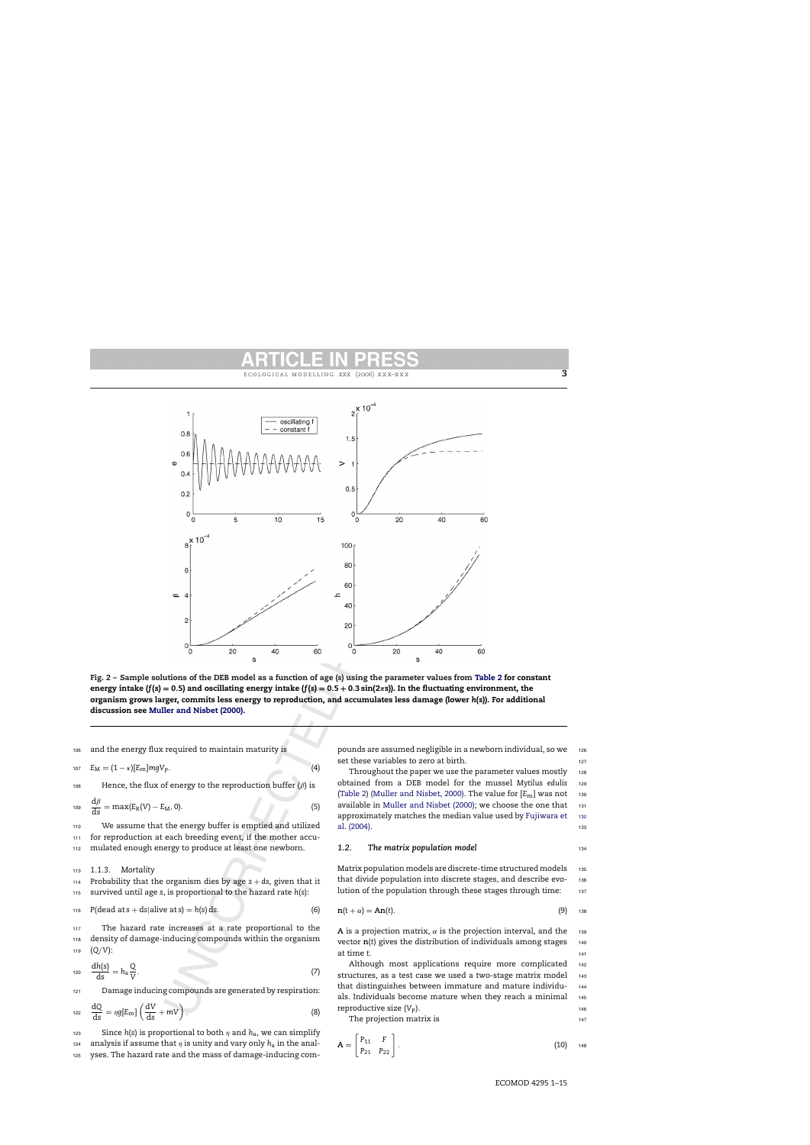e c o l o g i c a l m o d e l l i n g xxx (2006) x x x–x x x **3**

<span id="page-2-0"></span>

**Fig. 2 – Sample solutions of the DEB model as a function of age (***s***) using the parameter values from [Table 2](#page-3-0) for constant** energy intake (f(s) = 0.5) and oscillating energy intake (f(s) = 0.5 + 0.3 sin(2 $\pi$ s)). In the fluctuating environment, the **organism grows larger, commits less energy to reproduction, and accumulates less damage (lower h(s)). For additional discussion see [Muller and Nisbet \(2](#page-13-0)000).**

<sup>106</sup> and the energy flux required to maintain maturity is

$$
E_{\rm M} = (1 - \kappa) [E_{\rm m}] m g V_p. \tag{4}
$$

108 Hence, the flux of energy to the reproduction buffer  $(\beta)$  is

$$
\frac{d\beta}{ds} = \max(E_R(V) - E_M, 0). \tag{5}
$$

<sup>110</sup> We assume that the energy buffer is emptied and utilized <sup>111</sup> for reproduction at each breeding event, if the mother accu-<sup>112</sup> mulated enough energy to produce at least one newborn.

<sup>113</sup> *1.1.3. Mortality*

114 Probability that the organism dies by age  $s + ds$ , given that it <sup>115</sup> survived until age *s*, is proportional to the hazard rate h(s):

$$
116 \quad P(\text{dead at } s + \text{ds}|\text{alive at } s) = h(s) \text{ ds.} \tag{6}
$$

<sup>117</sup> The hazard rate increases at a rate proportional to the <sup>118</sup> density of damage-inducing compounds within the organism  $119$  (Q/V):

$$
120 \quad \frac{dh(s)}{ds} = h_a \frac{Q}{V}.
$$
 (7)

<sup>121</sup> Damage inducing compounds are generated by respiration:

$$
122 \quad \frac{dQ}{ds} = \eta g[E_{\rm m}] \left( \frac{dV}{ds} + mV \right). \tag{8}
$$

123 Since  $h(s)$  is proportional to both  $\eta$  and  $h_a$ , we can simplify  $_{124}$  analysis if assume that  $\eta$  is unity and vary only  $h_{\rm a}$  in the anal-<sup>125</sup> yses. The hazard rate and the mass of damage-inducing compounds are assumed negligible in a newborn individual, so we <sup>126</sup> set these variables to zero at birth.

Throughout the paper we use the parameter values mostly  $_{128}$ obtained from a DEB model for the mussel *Mytilus edulis* <sup>129</sup> (Table 2) [\(Muller and Nisbet, 2000\). T](#page-13-0)he value for  $[E_m]$  was not  $130$ available in [Muller and Nisbet \(2000\); w](#page-13-0)e choose the one that 131 approximately matches the median value used by [Fujiwara et](#page-13-0)  $132$ al. (2004). <sup>133</sup>

### **1.2.** The matrix population model

Matrix population models are discrete-time structured models 135 that divide population into discrete stages, and describe evo-<br>136 lution of the population through these stages through time: 137

$$
\mathbf{n}(t+\alpha) = \mathbf{An}(t). \tag{9}
$$

**A** is a projection matrix,  $\alpha$  is the projection interval, and the 139 vector **n**(t) gives the distribution of individuals among stages 140 at time *t*. <sup>141</sup>

Although most applications require more complicated 142 structures, as a test case we used a two-stage matrix model 143 that distinguishes between immature and mature individu- <sup>144</sup> als. Individuals become mature when they reach a minimal 145 reproductive size  $(V_p)$ .

The projection matrix is 147

$$
\mathbf{A} = \begin{bmatrix} P_{11} & F \\ P_{21} & P_{22} \end{bmatrix} . \tag{10}
$$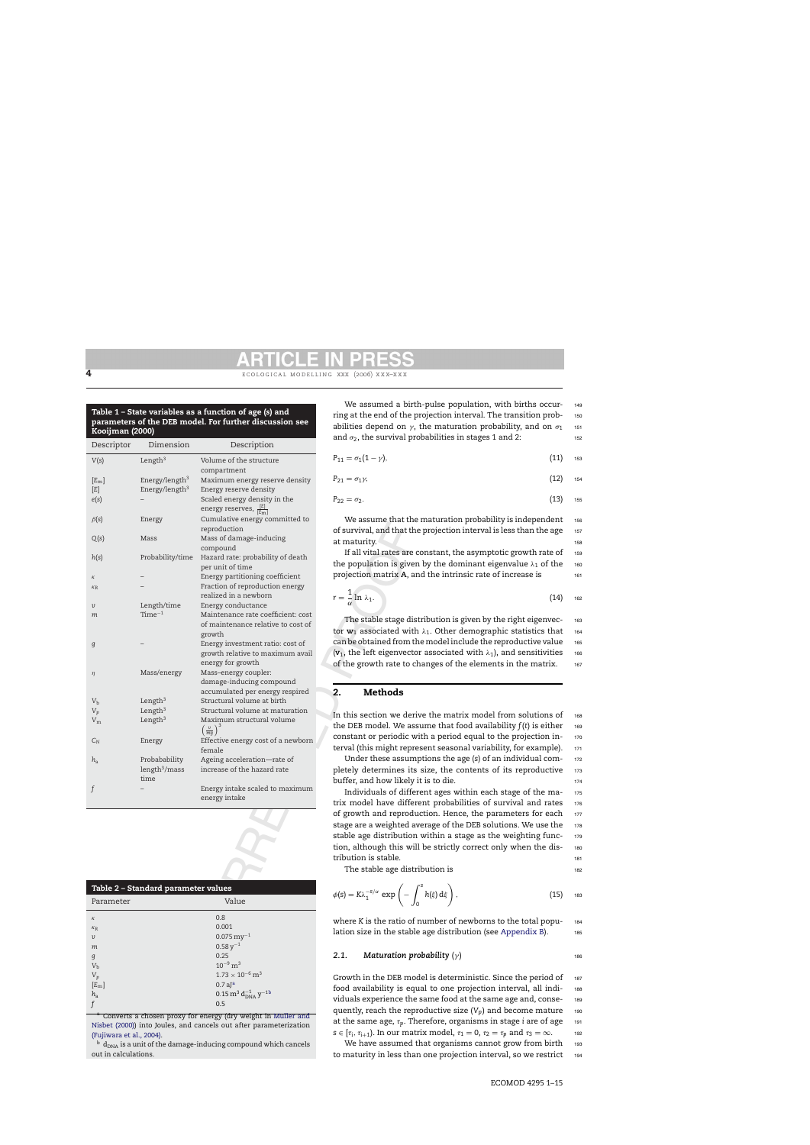**4** e c o l o g i c a l m o d e l l i n g xxx (2006) x x x–x x x

### <span id="page-3-0"></span>**Table 1 – State variables as a function of age (***s***) and parameters of the DEB model. For further discussion see [Kooijman \(2000\)](#page-13-0)**

| Descriptor           | Dimension                           | Description                                                                               | and 02, the survival pro                                       |
|----------------------|-------------------------------------|-------------------------------------------------------------------------------------------|----------------------------------------------------------------|
| V(s)                 | Length $3$                          | Volume of the structure<br>compartment                                                    | $P_{11} = \sigma_1(1-\gamma),$                                 |
| $[E_{m}]$            | Energy/length <sup>3</sup>          | Maximum energy reserve density                                                            | $P_{21} = \sigma_1 \gamma$                                     |
| [E]                  | Energy/length <sup>3</sup>          | Energy reserve density                                                                    |                                                                |
| e(s)                 |                                     | Scaled energy density in the<br>energy reserves, $\frac{[E]}{[E_{\text{m}}]}$             | $P_{22} = \sigma_2.$                                           |
| $\beta(s)$           | Energy                              | Cumulative energy committed to<br>reproduction                                            | We assume that the                                             |
| Q(s)                 | Mass                                | Mass of damage-inducing                                                                   | of survival, and that the<br>at maturity.                      |
|                      |                                     | compound                                                                                  | If all vital rates are o                                       |
| h(s)                 | Probability/time                    | Hazard rate: probability of death                                                         | the population is giver                                        |
|                      |                                     | per unit of time                                                                          | projection matrix A, ar                                        |
| $\cal K$             |                                     | Energy partitioning coefficient<br>Fraction of reproduction energy                        |                                                                |
| $K{\rm R}$           |                                     | realized in a newborn                                                                     |                                                                |
| υ                    | Length/time                         | Energy conductance                                                                        | $r = \frac{1}{\alpha} \ln \lambda_1.$                          |
| m                    | $Time-1$                            | Maintenance rate coefficient: cost                                                        |                                                                |
|                      |                                     | of maintenance relative to cost of                                                        | The stable stage dis                                           |
|                      |                                     | growth                                                                                    | tor $w_1$ associated with                                      |
| g                    |                                     | Energy investment ratio: cost of                                                          | can be obtained from th                                        |
|                      |                                     | growth relative to maximum avail                                                          | $(v_1)$ , the left eigenvecto                                  |
|                      |                                     | energy for growth                                                                         | of the growth rate to cl                                       |
| $\eta$               | Mass/energy                         | Mass-energy coupler:                                                                      |                                                                |
|                      |                                     | damage-inducing compound                                                                  |                                                                |
|                      | Length $3$                          | accumulated per energy respired<br>Structural volume at birth                             | <b>Methods</b><br>2.                                           |
| $V_{\rm b}$<br>$V_p$ | Length $3$                          | Structural volume at maturation                                                           |                                                                |
| $V_{\rm m}$          | Length $3$                          | Maximum structural volume                                                                 | In this section we deri                                        |
|                      |                                     | $\left(\frac{v}{mg}\right)$                                                               | the DEB model. We ass                                          |
| $C_N$                | Energy                              | Effective energy cost of a newborn                                                        | constant or periodic w                                         |
|                      |                                     | female                                                                                    | terval (this might repre                                       |
| $h_{\rm a}$          | Probabability                       | Ageing acceleration-rate of                                                               | Under these assum                                              |
|                      | length <sup>3</sup> /mass           | increase of the hazard rate                                                               | pletely determines its                                         |
|                      | time                                |                                                                                           | buffer, and how likely i                                       |
| f                    |                                     | Energy intake scaled to maximum                                                           | Individuals of differ                                          |
|                      |                                     | energy intake                                                                             | trix model have differ                                         |
|                      |                                     |                                                                                           | of growth and reprodu                                          |
|                      |                                     |                                                                                           | stage are a weighted av                                        |
|                      |                                     |                                                                                           | stable age distribution                                        |
|                      |                                     |                                                                                           | tion, although this wil                                        |
|                      |                                     |                                                                                           | tribution is stable.                                           |
|                      |                                     |                                                                                           | The stable age distr                                           |
|                      |                                     |                                                                                           |                                                                |
|                      | Table 2 - Standard parameter values |                                                                                           |                                                                |
| Parameter            |                                     | Value                                                                                     | $\phi(s) = K\lambda_1^{-s/\alpha} \exp \left(-\int_s^{\infty}$ |
| $\cal K$             |                                     | 0.8                                                                                       | where K is the ratio of:                                       |
| $\kappa_{\rm R}$     |                                     | 0.001                                                                                     |                                                                |
| v                    |                                     | $0.075 \,\mathrm{my}^{-1}$                                                                | lation size in the stable                                      |
| m                    |                                     | $0.58 y^{-1}$                                                                             |                                                                |
| g                    |                                     | 0.25                                                                                      | 2.1.<br>Maturation pro                                         |
| V <sub>b</sub>       |                                     | $10^{-9}$ m <sup>3</sup>                                                                  |                                                                |
| $V_p$                |                                     | $1.73 \times 10^{-6}$ m <sup>3</sup>                                                      | Growth in the DEB moo                                          |
| $[E_{m}]$            |                                     | 0.7aJ <sup>a</sup>                                                                        | food availability is equ                                       |
| $h_{\rm a}$<br>f     |                                     | $0.15 \,\mathrm{m}^3 \,\mathrm{d}_{\mathrm{DNA}}^{-1} \,\mathrm{y}^{-1\mathrm{b}}$<br>0.5 | viduals experience the                                         |
|                      |                                     | hosen provy for energy (dry weight in Muller                                              | quently, reach the repi                                        |

| Table 2 - Standard parameter values |                                                     |  |  |  |
|-------------------------------------|-----------------------------------------------------|--|--|--|
| Parameter                           | Value                                               |  |  |  |
| $\kappa$                            | 0.8                                                 |  |  |  |
| $K_{R}$                             | 0.001                                               |  |  |  |
| $\upsilon$                          | $0.075 \,\mathrm{my}^{-1}$                          |  |  |  |
| m                                   | $0.58 y^{-1}$                                       |  |  |  |
| $\mathfrak{g}$                      | 0.25                                                |  |  |  |
| V <sub>b</sub>                      | $10^{-9}$ m <sup>3</sup>                            |  |  |  |
| $V_p$                               | $1.73 \times 10^{-6}$ m <sup>3</sup>                |  |  |  |
| $[E_{m}]$                           | 0.7aJ <sup>a</sup>                                  |  |  |  |
| $h_{\rm a}$                         | 0.15 m <sup>3</sup> $d_{DNA}^{-1}$ y <sup>-1b</sup> |  |  |  |
|                                     | 0.5                                                 |  |  |  |

Converts a chosen proxy for energy (dry weight in Muller and Nisbet [\(2000\)\) i](#page-13-0)nto Joules, and cancels out after parameterization [\(Fujiwara et al., 2004\).](#page-13-0)

 $^{\rm b}$   $\rm d_{\rm DNA}$  is a unit of the damage-inducing compound which cancels out in calculations.

We assumed a birth-pulse population, with births occur-<br>149 ring at the end of the projection interval. The transition prob- 150 abilities depend on  $\gamma$ , the maturation probability, and on  $\sigma_1$  151 and  $\sigma_2$ , the survival probabilities in stages 1 and 2:  $152$ 

$$
P_{11} = \sigma_1 (1 - \gamma), \tag{11} \tag{12}
$$

$$
P_{21} = \sigma_1 \gamma, \tag{12}
$$

$$
P_{22} = \sigma_2. \tag{13} \tag{13}
$$

We assume that the maturation probability is independent  $156$ of survival, and that the projection interval is less than the age 157 at maturity and the set of the set of the set of the set of the set of the set of the set of the set of the set o

If all vital rates are constant, the asymptotic growth rate of  $159$ the population is given by the dominant eigenvalue  $\lambda_1$  of the 160 projection matrix **A**, and the intrinsic rate of increase is <sup>161</sup>

$$
r = \frac{1}{\alpha} \ln \lambda_1. \tag{14}
$$

The stable stage distribution is given by the right eigenvec-<br>163 tor  $w_1$  associated with  $\lambda_1$ . Other demographic statistics that 164 can be obtained from the model include the reproductive value 165  $(v_1)$ , the left eigenvector associated with  $\lambda_1$ ), and sensitivities 166 of the growth rate to changes of the elements in the matrix. 167

# **2. Methods**

In this section we derive the matrix model from solutions of  $_{168}$ the DEB model. We assume that food availability  $f(t)$  is either  $\frac{169}{169}$ constant or periodic with a period equal to the projection in- <sup>170</sup> terval (this might represent seasonal variability, for example). 171

Under these assumptions the age (*s*) of an individual com- <sup>172</sup> pletely determines its size, the contents of its reproductive 173 buffer, and how likely it is to die. 174

Individuals of different ages within each stage of the ma- <sup>175</sup> trix model have different probabilities of survival and rates 176 of growth and reproduction. Hence, the parameters for each 177 stage are a weighted average of the DEB solutions. We use the 178 stable age distribution within a stage as the weighting func- <sup>179</sup> tion, although this will be strictly correct only when the distribution is stable.

The stable age distribution is 182

$$
\phi(s) = K\lambda_1^{-s/\alpha} \exp\left(-\int_0^s h(\xi) d\xi\right),\tag{15}
$$

where *K* is the ratio of number of newborns to the total popu-<br>184 lation size in the stable age distribution (see [Appendix B\).](#page-12-0) 185

### 2.1. **Maturation probability**  $(y)$  186

Growth in the DEB model is deterministic. Since the period of  $_{187}$ food availability is equal to one projection interval, all indi- <sup>188</sup> viduals experience the same food at the same age and, conse-<br>189 quently, reach the reproductive size  $(V_p)$  and become mature 190 at the same age,  $\tau_p$ . Therefore, organisms in stage *i* are of age  $\tau_{191}$  $s \in [\tau_i, \tau_{i+1})$ . In our matrix model,  $\tau_1 = 0$ ,  $\tau_2 = \tau_n$  and  $\tau_3 = \infty$ . 192

We have assumed that organisms cannot grow from birth 193 to maturity in less than one projection interval, so we restrict 194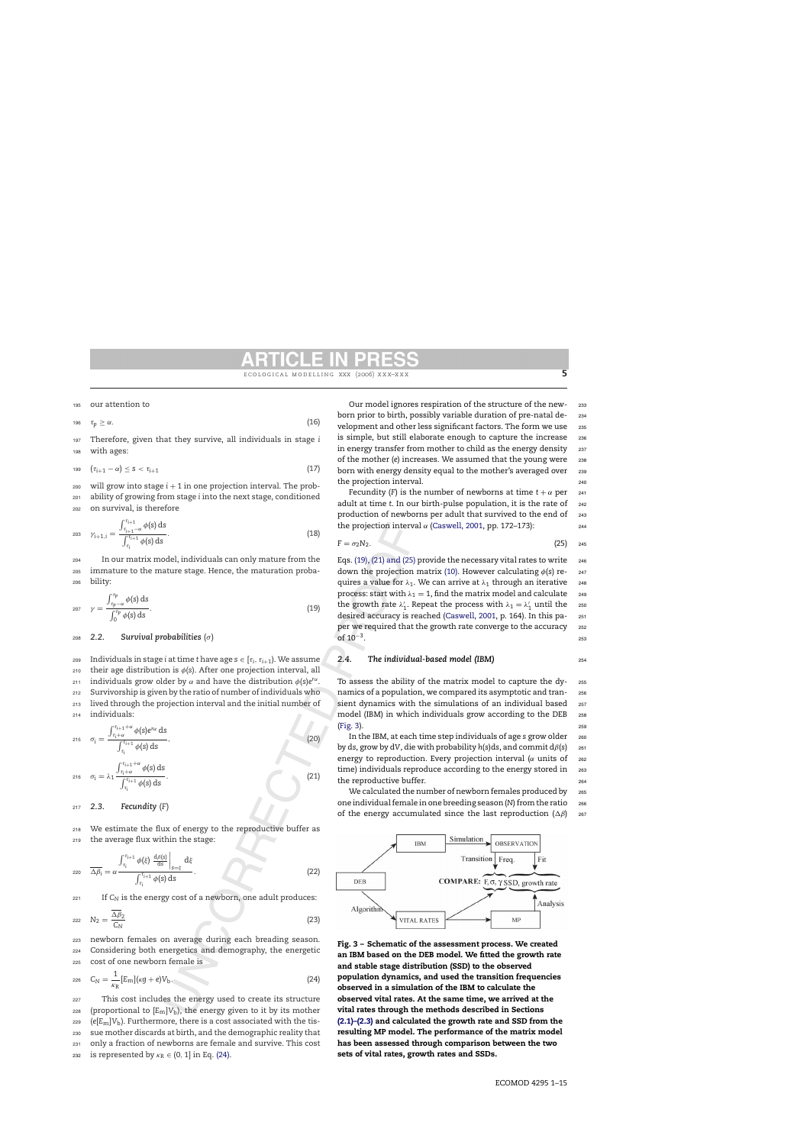<span id="page-4-0"></span><sup>195</sup> our attention to

$$
\tau_p \geq \alpha. \tag{16}
$$

<sup>197</sup> Therefore, given that they survive, all individuals in stage *i* <sup>198</sup> with ages:

$$
(17) \quad (\tau_{i+1} - \alpha) \leq s < \tau_{i+1} \tag{17}
$$

200 will grow into stage  $i + 1$  in one projection interval. The prob-<sup>201</sup> ability of growing from stage *i* into the next stage, conditioned <sup>202</sup> on survival, is therefore

203 
$$
\gamma_{i+1,i} = \frac{\int_{\tau_{i+1}-\alpha}^{\tau_{i+1}} \phi(s) \, ds}{\int_{\tau_i}^{\tau_{i+1}} \phi(s) \, ds}.
$$
 (18)

<sup>204</sup> In our matrix model, individuals can only mature from the <sup>205</sup> immature to the mature stage. Hence, the maturation proba-<sup>206</sup> bility:

$$
\gamma = \frac{\int_{\tau_p - \alpha}^{\tau_p} \phi(s) \, ds}{\int_0^{\tau_p} \phi(s) \, ds}.
$$
\n(19)

### $208$  2.2. Survival probabilities ( $\sigma$ )

209 Individuals in stage *i* at time *t* have age *s* ∈  $[\tau_i, \tau_{i+1}]$ . We assume 210 their age distribution is  $\phi(s)$ . After one projection interval, all 211 individuals grow older by  $\alpha$  and have the distribution  $\phi(s)e^{r\alpha}$ <sup>212</sup> Survivorship is given by the ratio of number of individuals who <sup>213</sup> lived through the projection interval and the initial number of <sup>214</sup> individuals:

215 
$$
\sigma_{\tilde{i}} = \frac{\int_{\tau_{\tilde{i}}+\alpha}^{\tau_{\tilde{i}+1}+\alpha} \phi(s)e^{r\alpha} ds}{\int_{\tau_{\tilde{i}}}^{\tau_{\tilde{i}+1}} \phi(s) ds},
$$
(20)

$$
z_{16} \quad \sigma_{i} = \lambda_1 \frac{\int_{\tau_{i}+i}^{\tau_{i+1}} \phi(s) \, ds}{\int_{\tau_{i}}^{\tau_{i+1}} \phi(s) \, ds}.
$$
\n(21)

### <sup>217</sup> *2.3. Fecundity* (F)

<sup>218</sup> We estimate the flux of energy to the reproductive buffer as <sup>219</sup> the average flux within the stage:

$$
\frac{\int_{\tau_i}^{\tau_{i+1}} \phi(\xi) \left. \frac{d\beta(s)}{ds} \right|_{s=\xi} ds}{\int_{\tau_i}^{\tau_{i+1}} \phi(s) ds}.
$$
\n(22)

 $221$  If  $C_N$  is the energy cost of a newborn, one adult produces:

$$
222 \tN_2 = \frac{\Delta \beta_2}{C_N} \t(23)
$$

<sup>223</sup> newborn females on average during each breading season. <sup>224</sup> Considering both energetics and demography, the energetic <sup>225</sup> cost of one newborn female is

$$
c_N = \frac{1}{\kappa_R} [E_m](\kappa g + e) V_b.
$$
 (24)

 This cost includes the energy used to create its structure 228 (proportional to  $[E_m]V_b$ ), the energy given to it by its mother (e[E<sub>m</sub>]V<sub>b</sub>). Furthermore, there is a cost associated with the tis- sue mother discards at birth, and the demographic reality that only a fraction of newborns are female and survive. This cost 232 is represented by  $\kappa_R \in (0, 1]$  in Eq. (24).

Our model ignores respiration of the structure of the new- <sup>233</sup> born prior to birth, possibly variable duration of pre-natal de-<br>234 velopment and other less significant factors. The form we use as is simple, but still elaborate enough to capture the increase 236 in energy transfer from mother to child as the energy density  $237$ of the mother (*e*) increases. We assumed that the young were ase born with energy density equal to the mother's averaged over 239 the projection interval.

Fecundity (F) is the number of newborns at time  $t + \alpha$  per 24 adult at time *t*. In our birth-pulse population, it is the rate of a42 production of newborns per adult that survived to the end of 243 the projection interval  $\alpha$  ([Caswell, 2001, p](#page-13-0)p. 172–173):  $^{244}$ 

$$
F = \sigma_2 N_2. \tag{25}
$$

Eqs. (19), (21) and (25) provide the necessary vital rates to write  $246$ down the projection matrix [\(10\). H](#page-2-0)owever calculating  $\phi(s)$  re- 247 quires a value for  $\lambda_1$ . We can arrive at  $\lambda_1$  through an iterative 248 process: start with  $\lambda_1 = 1$ , find the matrix model and calculate  $\mu_4$ the growth rate  $\lambda'_1$ . Repeat the process with  $\lambda_1 = \lambda'_1$  until the 250 desired accuracy is reached [\(Caswell, 2001, p](#page-13-0). 164). In this pa- 25 per we required that the growth rate converge to the accuracy asse of  $10^{-3}$ . 253

### *2.4. The individual-based model (IBM)* <sup>254</sup>

To assess the ability of the matrix model to capture the dy- <sup>255</sup> namics of a population, we compared its asymptotic and tran-<br>256 sient dynamics with the simulations of an individual based 257 model (IBM) in which individuals grow according to the DEB <sup>258</sup> (Fig. 3). <sup>259</sup>

In the IBM, at each time step individuals of age *s* grow older 260 by ds, grow by dV, die with probability  $h(s)$ ds, and commit  $d\beta(s)$  261 energy to reproduction. Every projection interval ( $\alpha$  units of 262 time) individuals reproduce according to the energy stored in 263 the reproductive buffer.

We calculated the number of newborn females produced by  $265$ one individual female in one breeding season (*N*) from the ratio <sup>266</sup> of the energy accumulated since the last reproduction  $(\Delta \beta)$  267



**Fig. 3 – Schematic of the assessment process. We created an IBM based on the DEB model. We fitted the growth rate and stable stage distribution (SSD) to the observed population dynamics, and used the transition frequencies observed in a simulation of the IBM to calculate the observed vital rates. At the same time, we arrived at the vital rates through the methods described in Sections [\(2.1\)–\(2.3\)](#page-3-0) and calculated the growth rate and SSD from the resulting MP model. The performance of the matrix model has been assessed through comparison between the two sets of vital rates, growth rates and SSDs.**

ECOMOD 4295 1–15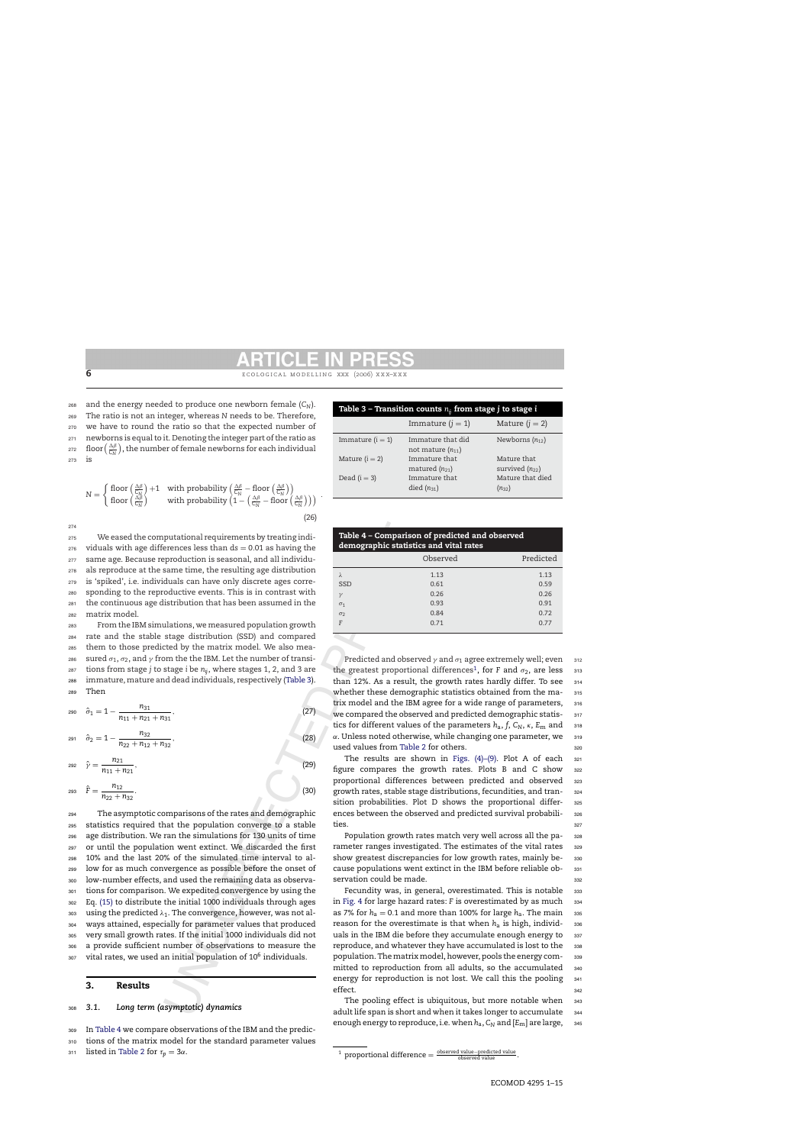<span id="page-5-0"></span> $\overline{6}$  **6** e cological modelling xxx (2006) x x x–x x x

268 and the energy needed to produce one newborn female  $(C_N)$ . <sup>269</sup> The ratio is not an integer, whereas *N* needs to be. Therefore, <sup>270</sup> we have to round the ratio so that the expected number of <sup>271</sup> newborns is equal to it. Denoting the integer part of the ratio as  $_{\rm 272}$  ), the number of female newborns for each individual <sup>273</sup> is

$$
N = \begin{cases} \text{floor}\left(\frac{\Delta \beta}{C_N}\right) + 1 & \text{with probability}\left(\frac{\Delta \beta}{C_N} - \text{floor}\left(\frac{\Delta \beta}{C_N}\right)\right) \\ \text{floor}\left(\frac{\Delta \beta}{C_N}\right) & \text{with probability}\left(1 - \left(\frac{\Delta \beta}{C_N} - \text{floor}\left(\frac{\Delta \beta}{C_N}\right)\right)\right) \end{cases} \tag{26}
$$

274

 We eased the computational requirements by treating indi- viduals with age differences less than  $ds = 0.01$  as having the same age. Because reproduction is seasonal, and all individu- als reproduce at the same time, the resulting age distribution is 'spiked', i.e. individuals can have only discrete ages corre- sponding to the reproductive events. This is in contrast with the continuous age distribution that has been assumed in the matrix model.

 From the IBM simulations, we measured population growth rate and the stable stage distribution (SSD) and compared them to those predicted by the matrix model. We also mea-286 sured  $\sigma_1$ ,  $\sigma_2$ , and  $\gamma$  from the the IBM. Let the number of transi- tions from stage *j* to stage *i* be  $n_{ii}$ , where stages 1, 2, and 3 are immature, mature and dead individuals, respectively (Table 3). <sup>289</sup> Then

$$
290 \quad \hat{\sigma}_1 = 1 - \frac{n_{31}}{n_{11} + n_{21} + n_{31}},
$$
\n
$$
291 \quad \hat{\sigma}_2 = 1 - \frac{n_{32}}{n_{22} + n_{12} + n_{32}},
$$
\n(28)

$$
\hat{\gamma} = \frac{n_{21}}{n_{11} + n_{21}},\tag{29}
$$

$$
\hat{F} = \frac{n_{12}}{n_{22} + n_{32}}.\tag{30}
$$

putational requirements by treating indi-<br> **Table 4 – Compariso**<br>
rencese less than ds = 0.01 as having the<br>
demographic statistic process correlation is seasonal, and all individual<br>
scanne time, the resulting age distri The asymptotic comparisons of the rates and demographic statistics required that the population converge to a stable age distribution. We ran the simulations for 130 units of time or until the population went extinct. We discarded the first 10% and the last 20% of the simulated time interval to al- low for as much convergence as possible before the onset of low-number effects, and used the remaining data as observa- tions for comparison. We expedited convergence by using the Eq. [\(15\)](#page-3-0) to distribute the initial 1000 individuals through ages 303 using the predicted  $\lambda_1$ . The convergence, however, was not al- ways attained, especially for parameter values that produced very small growth rates. If the initial 1000 individuals did not a provide sufficient number of observations to measure the vital rates, we used an initial population of  $10^6$  individuals.

# **3. Results**

# <sup>308</sup> *3.1. Long term (asymptotic) dynamics*

<sup>309</sup> In Table 4 we compare observations of the IBM and the predic-<sup>310</sup> tions of the matrix model for the standard parameter values 311 listed in [Table 2](#page-3-0) for  $\tau_p = 3\alpha$ .

| Table 3 - Transition counts $n_{ij}$ from stage j to stage i |                                            |                                    |  |  |
|--------------------------------------------------------------|--------------------------------------------|------------------------------------|--|--|
|                                                              | Immature $(i = 1)$                         | Mature $(i = 2)$                   |  |  |
| Immature $(i = 1)$                                           | Immature that did<br>not mature $(n_{11})$ | Newborns $(n_{12})$                |  |  |
| Mature $(i = 2)$                                             | Immature that<br>matured $(n_{21})$        | Mature that<br>survived $(n_{22})$ |  |  |
| Dead $(i = 3)$                                               | Immature that<br>died $(n_{31})$           | Mature that died<br>$(n_{32})$     |  |  |

| Table 4 - Comparison of predicted and observed<br>demographic statistics and vital rates |          |           |  |  |
|------------------------------------------------------------------------------------------|----------|-----------|--|--|
|                                                                                          | Observed | Predicted |  |  |
| $\lambda$                                                                                | 1.13     | 1.13      |  |  |
| <b>SSD</b>                                                                               | 0.61     | 0.59      |  |  |
| $\gamma$                                                                                 | 0.26     | 0.26      |  |  |
| $\sigma_1$                                                                               | 0.93     | 0.91      |  |  |
| $\sigma_2$                                                                               | 0.84     | 0.72      |  |  |
|                                                                                          | 0.71     | 0.77      |  |  |

Predicted and observed  $\gamma$  and  $\sigma_1$  agree extremely well; even 312 the greatest proportional differences<sup>1</sup>, for *F* and  $\sigma_2$ , are less 313 than 12%. As a result, the growth rates hardly differ. To see  $314$ whether these demographic statistics obtained from the ma-<br>315 trix model and the IBM agree for a wide range of parameters, 316 we compared the observed and predicted demographic statis-<br>317 tics for different values of the parameters  $h_a$ ,  $f_a$ ,  $C_N$ ,  $\kappa$ ,  $E_m$  and 318  $\alpha$ . Unless noted otherwise, while changing one parameter, we  $\alpha$ used values from [Table 2](#page-3-0) for others.

The results are shown in Figs.  $(4)$ – $(9)$ . Plot A of each 321 figure compares the growth rates. Plots B and C show <sup>322</sup> proportional differences between predicted and observed 323 growth rates, stable stage distributions, fecundities, and tran- <sup>324</sup> sition probabilities. Plot D shows the proportional differ- <sup>325</sup> ences between the observed and predicted survival probabili- 326 ties. 327

Population growth rates match very well across all the pa- 328 rameter ranges investigated. The estimates of the vital rates 329 show greatest discrepancies for low growth rates, mainly be- 330 cause populations went extinct in the IBM before reliable ob- <sup>331</sup> servation could be made.  $332$ 

Fecundity was, in general, overestimated. This is notable 333 in Fig. 4 for large hazard rates: *F* is overestimated by as much 334 as 7% for  $h_a = 0.1$  and more than 100% for large  $h_a$ . The main 335 reason for the overestimate is that when  $h_a$  is high, individ- 336 uals in the IBM die before they accumulate enough energy to 337 reproduce, and whatever they have accumulated is lost to the 338 population. The matrix model, however, pools the energy com- <sup>339</sup> mitted to reproduction from all adults, so the accumulated 340 energy for reproduction is not lost. We call this the pooling  $341$  $\text{effect.}$   $\qquad \qquad \text{342}$ 

The pooling effect is ubiquitous, but more notable when 343 adult life span is short and when it takes longer to accumulate  $344$ enough energy to reproduce, i.e. when  $h_a$ ,  $C_N$  and  $[E_m]$  are large, 345

<sup>1</sup> proportional difference  $=$   $\frac{\text{observed value-predicted value}}{\text{observed value}}$ .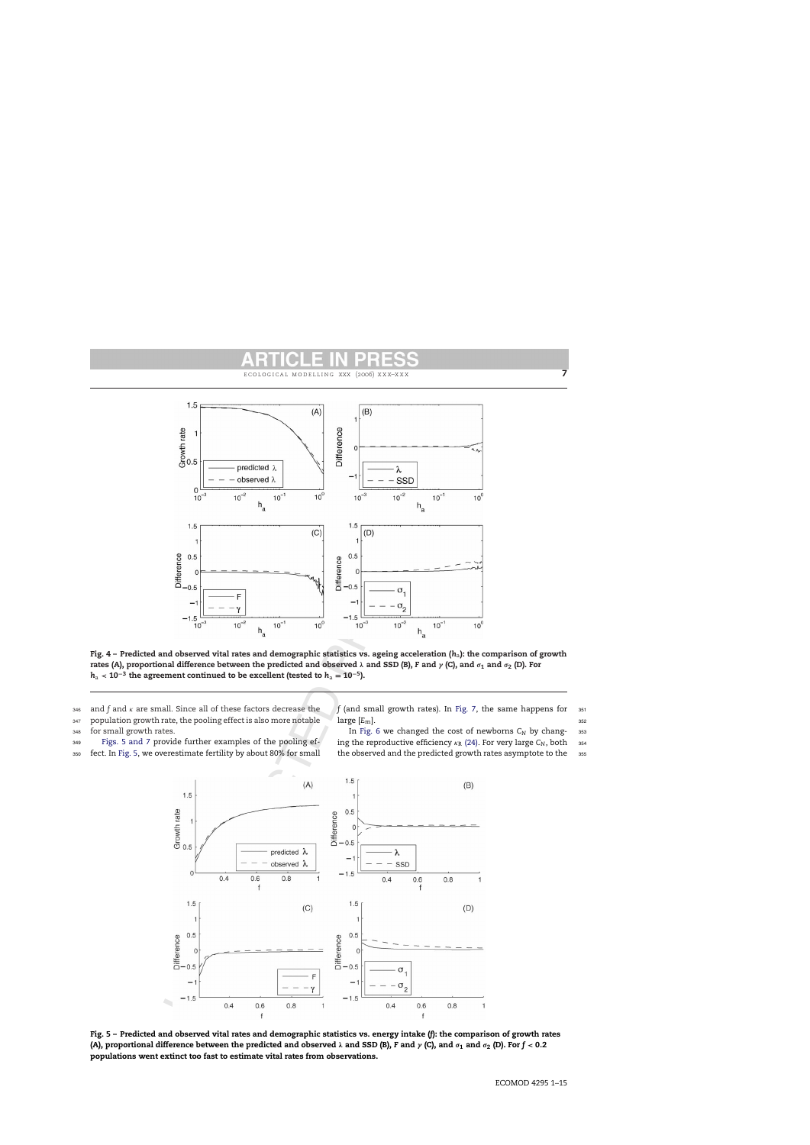<span id="page-6-0"></span>

**Fig. 4 – Predicted and observed vital rates and demographic statistics vs. ageing acceleration (h**a**): the comparison of growth rates (A), proportional difference between the predicted and observed**  $\lambda$  **and SSD (B), F and**  $\gamma$  **(C), and**  $\sigma_1$  **and**  $\sigma_2$  **(D). For**  $h_a < 10^{-3}$  the agreement continued to be excellent (tested to  $h_a = 10^{-5}$ ).

 $346$  and  $f$  and  $\kappa$  are small. Since all of these factors decrease the

<sup>347</sup> population growth rate, the pooling effect is also more notable <sup>348</sup> for small growth rates.

*f* (and small growth rates). In [Fig. 7,](#page-7-0) the same happens for 351  $large [E<sub>m</sub>]$ . 352

<sup>349</sup> Figs. 5 and 7 provide further examples of the pooling ef-<sup>350</sup> fect. In Fig. 5, we overestimate fertility by about 80% for small

In Fig. 6 we changed the cost of newborns  $C_N$  by chang- 353 ing the reproductive efficiency  $\kappa_R$  [\(24\). F](#page-4-0)or very large  $C_N$ , both 354 the observed and the predicted growth rates asymptote to the 355



**Fig. 5 – Predicted and observed vital rates and demographic statistics vs. energy intake (***f***): the comparison of growth rates (A), proportional difference between the predicted and observed**  $\lambda$  **and SSD (B), F and**  $\gamma$  **(C), and**  $\sigma_1$  **and**  $\sigma_2$  **(D). For**  $f < 0.2$ **populations went extinct too fast to estimate vital rates from observations.**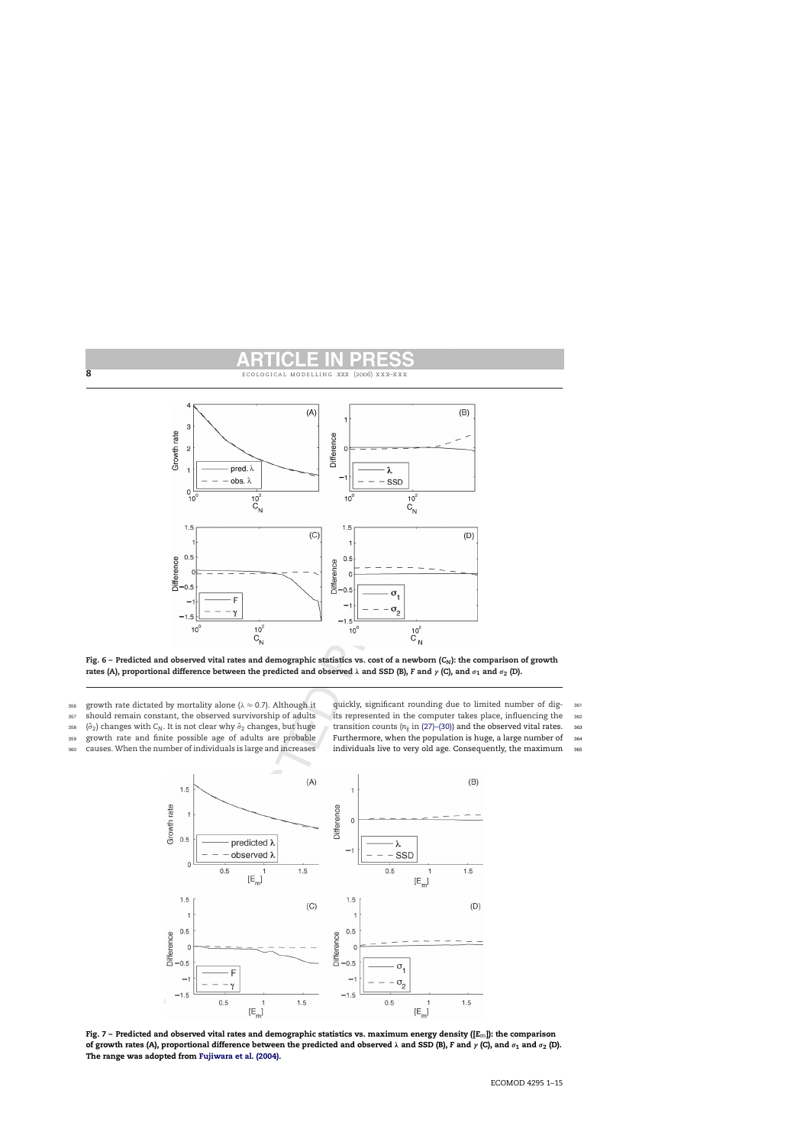<span id="page-7-0"></span>**8** e cological modelling xxx (2006) xxx–xxx



Fig. 6 – Predicted and observed vital rates and demographic statistics vs. cost of a newborn (C<sub>N</sub>): the comparison of growth **rates (A), proportional difference between the predicted and observed**  $\lambda$  **and SSD (B), F and**  $\gamma$  **(C), and**  $\sigma_1$  **and**  $\sigma_2$  **(D).** 

356 growth rate dictated by mortality alone ( $\lambda \approx 0.7$ ). Although it <sup>357</sup> should remain constant, the observed survivorship of adults

358 ( $\hat{\sigma}_2$ ) changes with C<sub>N</sub>. It is not clear why  $\hat{\sigma}_2$  changes, but huge

<sup>359</sup> growth rate and finite possible age of adults are probable

<sup>360</sup> causes. When the number of individuals is large and increases

quickly, significant rounding due to limited number of dig- <sup>361</sup> its represented in the computer takes place, influencing the 362 transition counts ( $n_{ii}$  in [\(27\)–\(30\)\) a](#page-5-0)nd the observed vital rates. 363 Furthermore, when the population is huge, a large number of 364 individuals live to very old age. Consequently, the maximum 365



**Fig. 7 – Predicted and observed vital rates and demographic statistics vs. maximum energy density ([E**m**]): the comparison of growth rates (A), proportional difference between the predicted and observed**  $\lambda$  **and SSD (B), F and**  $\gamma$  **(C), and**  $\sigma_1$  **and**  $\sigma_2$  **(D). The range was adopted from [Fujiwara et al. \(2004\).](#page-13-0)**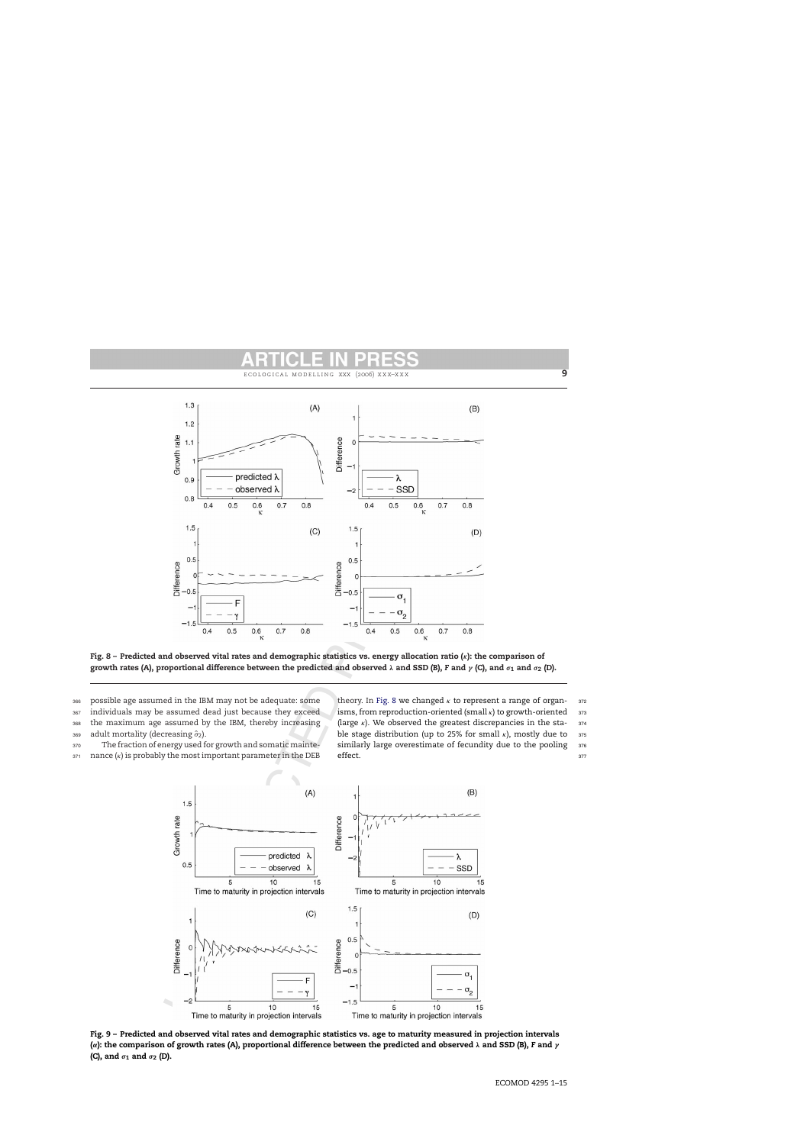$\mathbf{g}$  is cological modelling xxx (2006) x x x–x x x  $\mathbf{g}$ 

<span id="page-8-0"></span>

**Fig. 8 – Predicted and observed vital rates and demographic statistics vs. energy allocation ratio (): the comparison of growth rates (A), proportional difference between the predicted and observed**  $\lambda$  **and SSD (B), F and**  $\gamma$  **(C), and**  $\sigma_1$  **and**  $\sigma_2$  **(D).** 

 possible age assumed in the IBM may not be adequate: some individuals may be assumed dead just because they exceed the maximum age assumed by the IBM, thereby increasing 369 adult mortality (decreasing  $\hat{\sigma}_2$ ).

theory. In Fig. 8 we changed  $\kappa$  to represent a range of organ isms, from reproduction-oriented (small  $\kappa$ ) to growth-oriented (large  $\kappa$ ). We observed the greatest discrepancies in the stable stage distribution (up to 25% for small  $\kappa$ ), mostly due to 375 similarly large overestimate of fecundity due to the pooling  $\bullet$  effect.  $\bullet$ 

<sup>370</sup> The fraction of energy used for growth and somatic mainte-

 $371$  nance ( $\kappa$ ) is probably the most important parameter in the DEB



**Fig. 9 – Predicted and observed vital rates and demographic statistics vs. age to maturity measured in projection intervals** ( $\alpha$ ): the comparison of growth rates (A), proportional difference between the predicted and observed  $\lambda$  and SSD (B), F and  $\gamma$ **(C), and**  $\sigma_1$  **and**  $\sigma_2$  **(D).**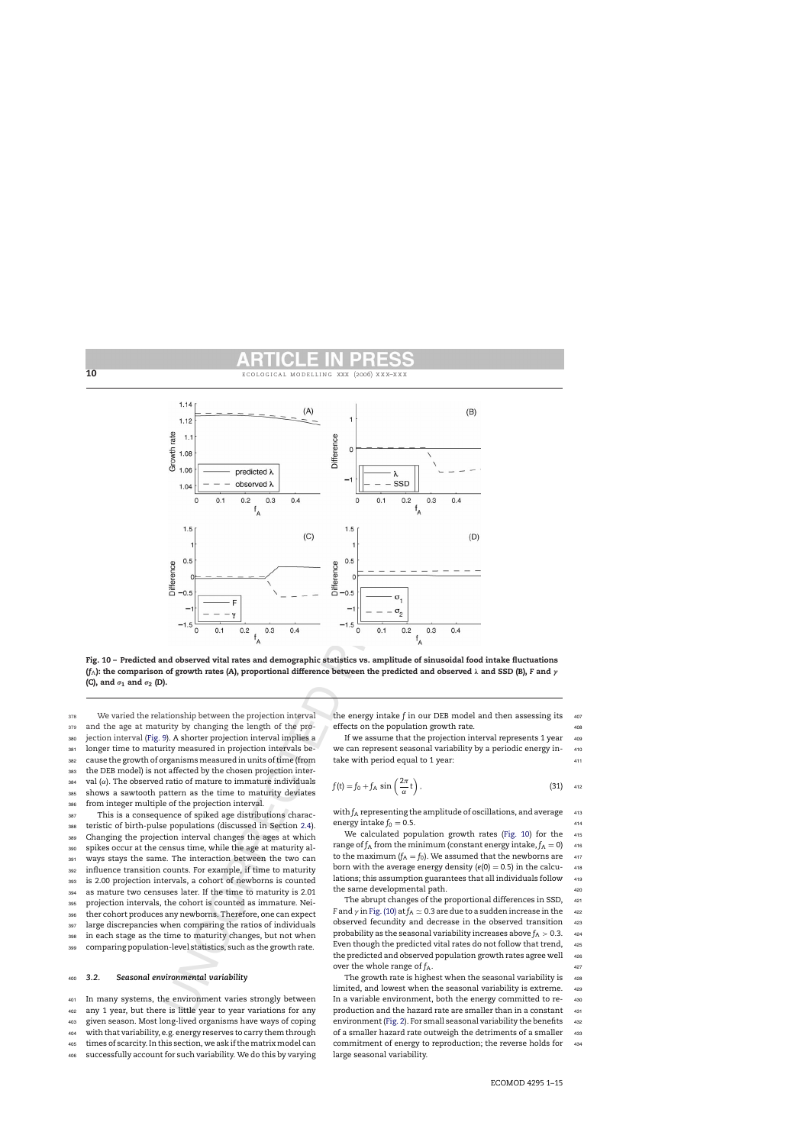**10 e** cological modeling xxx (2006) xxx-xxx



**Fig. 10 – Predicted and observed vital rates and demographic statistics vs. amplitude of sinusoidal food intake fluctuations**  $(f_A)$ : the comparison of growth rates (A), proportional difference between the predicted and observed  $\lambda$  and SSD (B), *F* and  $\gamma$ **(C), and**  $\sigma_1$  **and**  $\sigma_2$  **(D).** 

 We varied the relationship between the projection interval and the age at maturity by changing the length of the pro- jection interval [\(Fig. 9\).](#page-8-0) A shorter projection interval implies a longer time to maturity measured in projection intervals be- cause the growth of organisms measured in units of time (from the DEB model) is not affected by the chosen projection inter- val ( $\alpha$ ). The observed ratio of mature to immature individuals shows a sawtooth pattern as the time to maturity deviates from integer multiple of the projection interval.

 This is a consequence of spiked age distributions charac- teristic of birth-pulse populations (discussed in Section 2.4). Changing the projection interval changes the ages at which spikes occur at the census time, while the age at maturity al- ways stays the same. The interaction between the two can influence transition counts. For example, if time to maturity is 2.00 projection intervals, a cohort of newborns is counted as mature two censuses later. If the time to maturity is 2.01 projection intervals, the cohort is counted as immature. Nei- ther cohort produces any newborns. Therefore, one can expect large discrepancies when comparing the ratios of individuals in each stage as the time to maturity changes, but not when comparing population-level statistics, such as the growth rate.

### <sup>400</sup> *3.2. Seasonal environmental variability*

 In many systems, the environment varies strongly between any 1 year, but there is little year to year variations for any given season. Most long-lived organisms have ways of coping with that variability, e.g. energy reserves to carry them through times of scarcity. In this section, we ask if the matrix model can successfully account for such variability. We do this by varying the energy intake *f* in our DEB model and then assessing its 407 effects on the population growth rate.

If we assume that the projection interval represents  $1$  year  $409$ we can represent seasonal variability by a periodic energy in- <sup>410</sup> take with period equal to 1 year:  $411$ 

$$
f(t) = f_0 + f_A \sin\left(\frac{2\pi}{\alpha}t\right),\tag{31}
$$

with  $f_A$  representing the amplitude of oscillations, and average  $413$ energy intake  $f_0 = 0.5$ .

We calculated population growth rates (Fig. 10) for the 415 range of  $f_A$  from the minimum (constant energy intake,  $f_A = 0$ ) 416 to the maximum  $(f_A = f_0)$ . We assumed that the newborns are 417 born with the average energy density  $(e(0) = 0.5)$  in the calculations; this assumption guarantees that all individuals follow 419 the same developmental path.  $420$ 

The abrupt changes of the proportional differences in SSD, 421 *F* and  $\gamma$  in Fig. (10) at  $f_A \simeq 0.3$  are due to a sudden increase in the 422 observed fecundity and decrease in the observed transition 423 probability as the seasonal variability increases above  $f_A > 0.3$ .  $424$ Even though the predicted vital rates do not follow that trend, 425 the predicted and observed population growth rates agree well 426 over the whole range of  $f_A$ .  $427$ 

The growth rate is highest when the seasonal variability is  $428$ limited, and lowest when the seasonal variability is extreme. 429 In a variable environment, both the energy committed to re- 430 production and the hazard rate are smaller than in a constant 431 environment [\(Fig. 2\).](#page-2-0) For small seasonal variability the benefits 432 of a smaller hazard rate outweigh the detriments of a smaller 433 commitment of energy to reproduction; the reverse holds for <sup>434</sup> large seasonal variability.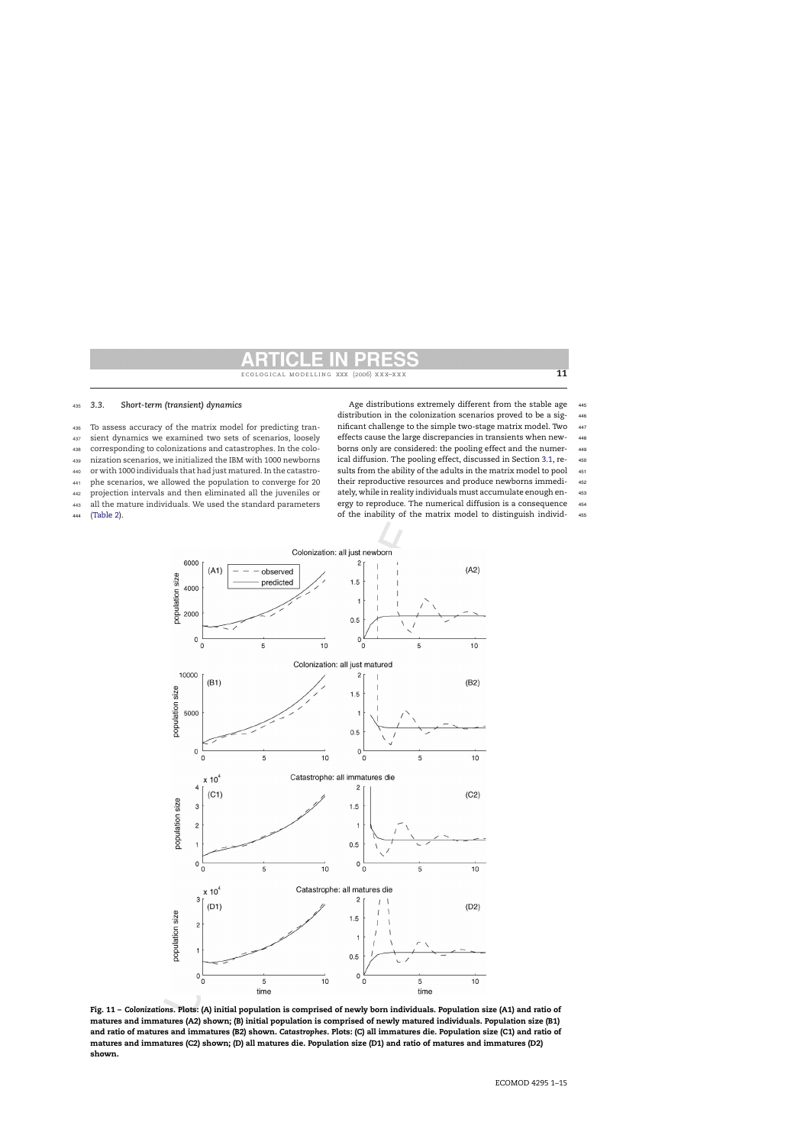$\epsilon$  cological modelling xxx (2006) x x x–x x x  $\sim$  **11** 

### <span id="page-10-0"></span><sup>435</sup> *3.3. Short-term (transient) dynamics*

 To assess accuracy of the matrix model for predicting tran- sient dynamics we examined two sets of scenarios, loosely corresponding to colonizations and catastrophes. In the colo- nization scenarios, we initialized the IBM with 1000 newborns or with 1000 individuals that had just matured. In the catastro- phe scenarios, we allowed the population to converge for 20 projection intervals and then eliminated all the juveniles or all the mature individuals. We used the standard parameters [\(Table 2\).](#page-3-0)

Age distributions extremely different from the stable age 445 distribution in the colonization scenarios proved to be a sig- <sup>446</sup> nificant challenge to the simple two-stage matrix model. Two 447 effects cause the large discrepancies in transients when new- <sup>448</sup> borns only are considered: the pooling effect and the numer- <sup>449</sup> ical diffusion. The pooling effect, discussed in Section [3.1, r](#page-5-0)e- 450 sults from the ability of the adults in the matrix model to pool 451 their reproductive resources and produce newborns immedi- 452 ately, while in reality individuals must accumulate enough en-<br>453 ergy to reproduce. The numerical diffusion is a consequence 454 of the inability of the matrix model to distinguish individ- <sup>455</sup>



**Fig. 11 –** *Colonizations***. Plots: (A) initial population is comprised of newly born individuals. Population size (A1) and ratio of matures and immatures (A2) shown; (B) initial population is comprised of newly matured individuals. Population size (B1) and ratio of matures and immatures (B2) shown.** *Catastrophes***. Plots: (C) all immatures die. Population size (C1) and ratio of matures and immatures (C2) shown; (D) all matures die. Population size (D1) and ratio of matures and immatures (D2) shown.**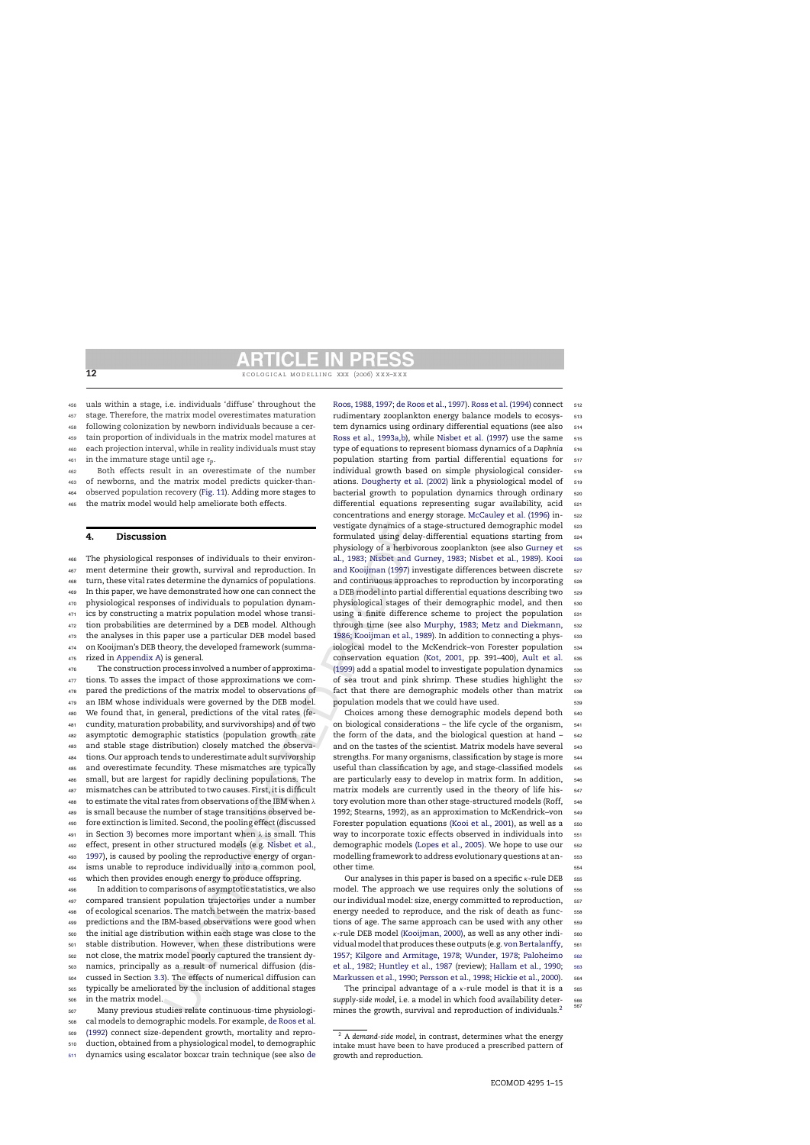<span id="page-11-0"></span>**12 e** cological modeling xxx (2006) xxx-xxx

 uals within a stage, i.e. individuals 'diffuse' throughout the stage. Therefore, the matrix model overestimates maturation following colonization by newborn individuals because a cer- tain proportion of individuals in the matrix model matures at each projection interval, while in reality individuals must stay  $_{461}$  in the immature stage until age  $\tau_p$ .

 Both effects result in an overestimate of the number of newborns, and the matrix model predicts quicker-than- observed population recovery ([Fig. 11\).](#page-10-0) Adding more stages to the matrix model would help ameliorate both effects.

### **4. Discussion**

 The physiological responses of individuals to their environ- ment determine their growth, survival and reproduction. In turn, these vital rates determine the dynamics of populations. In this paper, we have demonstrated how one can connect the physiological responses of individuals to population dynam-471 ics by constructing a matrix population model whose transi- tion probabilities are determined by a DEB model. Although the analyses in this paper use a particular DEB model based on Kooijman's DEB theory, the developed framework (summa-rized in [Appendix A\)](#page-12-0) is general.

UNCOR[R](#page-13-0)ECTED [PR](#page-13-0)O[O](#page-13-0)F The construction process involved a number of approxima-477 tions. To asses the impact of those approximations we com-478 pared the predictions of the matrix model to observations of an IBM whose individuals were governed by the DEB model. We found that, in general, predictions of the vital rates (fecundity, maturation probability, and survivorships) and of two asymptotic demographic statistics (population growth rate and stable stage distribution) closely matched the observa- tions. Our approach tends to underestimate adult survivorship and overestimate fecundity. These mismatches are typically small, but are largest for rapidly declining populations. The mismatches can be attributed to two causes. First, it is difficult 488 to estimate the vital rates from observations of the IBM when  $\lambda$  is small because the number of stage transitions observed be- fore extinction is limited. Second, the pooling effect (discussed 491 in Section [3\)](#page-5-0) becomes more important when  $\lambda$  is small. This 492 effect, present in other structured models (e.g. Nisbet et al., [1997\),](#page-13-0) is caused by pooling the reproductive energy of organ- isms unable to reproduce individually into a common pool, which then provides enough energy to produce offspring.

 In addition to comparisons of asymptotic statistics, we also compared transient population trajectories under a number of ecological scenarios. The match between the matrix-based predictions and the IBM-based observations were good when the initial age distribution within each stage was close to the stable distribution. However, when these distributions were not close, the matrix model poorly captured the transient dy- namics, principally as a result of numerical diffusion (dis- cussed in Section [3.3\).](#page-10-0) The effects of numerical diffusion can typically be ameliorated by the inclusion of additional stages in the matrix model.

 Many previous studies relate continuous-time physiologi- cal models to demographic models. For example, [de Roos et al.](#page-13-0) [\(1992\)](#page-13-0) connect size-dependent growth, mortality and repro- duction, obtained from a physiological model, to demographic dynamics using escalator boxcar train technique (see also [de](#page-13-0) Roo[s, 1988, 1997; de Roos et al., 1997\).](#page-13-0) [Ross et al. \(1994\)](#page-13-0) [c](#page-13-0)onnect 512 rudimentary zooplankton energy balance models to ecosys- <sup>513</sup> tem dynamics using ordinary differential equations (see also 514 [Ross et al., 1993a,b\),](#page-13-0) while [Nisbet et al. \(1997\)](#page-13-0) use the same 515 type of equations to represent biomass dynamics of a *Daphnia* 516 population starting from partial differential equations for 517 individual growth based on simple physiological consider-<br>
518 ations. [Dougherty et al. \(2002\)](#page-13-0) link a physiological model of 519 bacterial growth to population dynamics through ordinary 520 differential equations representing sugar availability, acid 521 concentrations and energy storage. [McCauley et al. \(1996\)](#page-13-0) in- <sup>522</sup> vestigate dynamics of a stage-structured demographic model 523 formulated using delay-differential equations starting from <sup>524</sup> physiology of a herbivorous zooplankton (see also [Gurney et](#page-13-0) 525 al., 1983; [Nisbet and Gurney, 1983; Nisbet et al., 1989\).](#page-13-0) [Kooi](#page-13-0) 526 and Kooijman (1997) investigate differences between discrete s27 and continuous approaches to reproduction by incorporating 528 a DEB model into partial differential equations describing two s29 physiological stages of their demographic model, and then 530 using a finite difference scheme to project the population 531 through time (see also [Murphy, 1983; Metz and Diekmann,](#page-13-0) 532 1986; Kooijman et al., [1989\).](#page-13-0) In addition to connecting a phys-<br>533 iological model to the McKendrick-von Forester population 534 conservation equation [\(Kot, 2001,](#page-13-0) pp. 391-400), [Ault et al.](#page-13-0) 535  $(1999)$  add a spatial model to investigate population dynamics  $536$ of sea trout and pink shrimp. These studies highlight the 537 fact that there are demographic models other than matrix 538 population models that we could have used.  $539$ 

Choices among these demographic models depend both <sup>540</sup> on biological considerations - the life cycle of the organism, 541 the form of the data, and the biological question at hand  $\frac{542}{2}$ and on the tastes of the scientist. Matrix models have several 543 strengths. For many organisms, classification by stage is more  $=$   $\frac{544}{2}$ useful than classification by age, and stage-classified models 545 are particularly easy to develop in matrix form. In addition, 546 matrix models are currently used in the theory of life his-<br>  $547$ tory evolution more than other stage-structured models (Roff, 548 1992; Stearns, 1992), as an approximation to McKendrick-von 549 Forester population equations [\(Kooi et al., 2001\), a](#page-13-0)s well as a 550 way to incorporate toxic effects observed in individuals into 551 demographic models [\(Lopes et al., 2005\). W](#page-13-0)e hope to use our 552 modelling framework to address evolutionary questions at an-<br>
553 other time. So the state of the state of the state of the state of the state of the state of the state of the state of the state of the state of the state of the state of the state of the state of the state of the state of

Our analyses in this paper is based on a specific  $\kappa$ -rule DEB 555 model. The approach we use requires only the solutions of 556 our individual model: size, energy committed to reproduction, 557 energy needed to reproduce, and the risk of death as func-<br>
<sub>558</sub> tions of age. The same approach can be used with any other 559  $\kappa$ -rule DEB model [\(Kooijman, 2000\), a](#page-13-0)s well as any other individual model that produces these outputs (e.g. [von Bertalanffy,](#page-14-0) 561 1957; [Kilgore and Armitage, 1978; Wunder, 1978; Paloheimo](#page-14-0) 562 et al., 1982; [Huntley et al., 1987](#page-14-0) (review); [Hallam et al., 1990;](#page-13-0) <sup>563</sup> Markussen et al., [1990; Persson et al., 1998; Hickie et al., 2000\).](#page-13-0) <sup>564</sup>

The principal advantage of a  $\kappa$ -rule model is that it is a  $565$ *supply-side model*, i.e. a model in which food availability deter- <sup>566</sup> mines the growth, survival and reproduction of individuals.<sup>2</sup>

<sup>2</sup> A *demand-side model*, in contrast, determines what the energy intake must have been to have produced a prescribed pattern of growth and reproduction.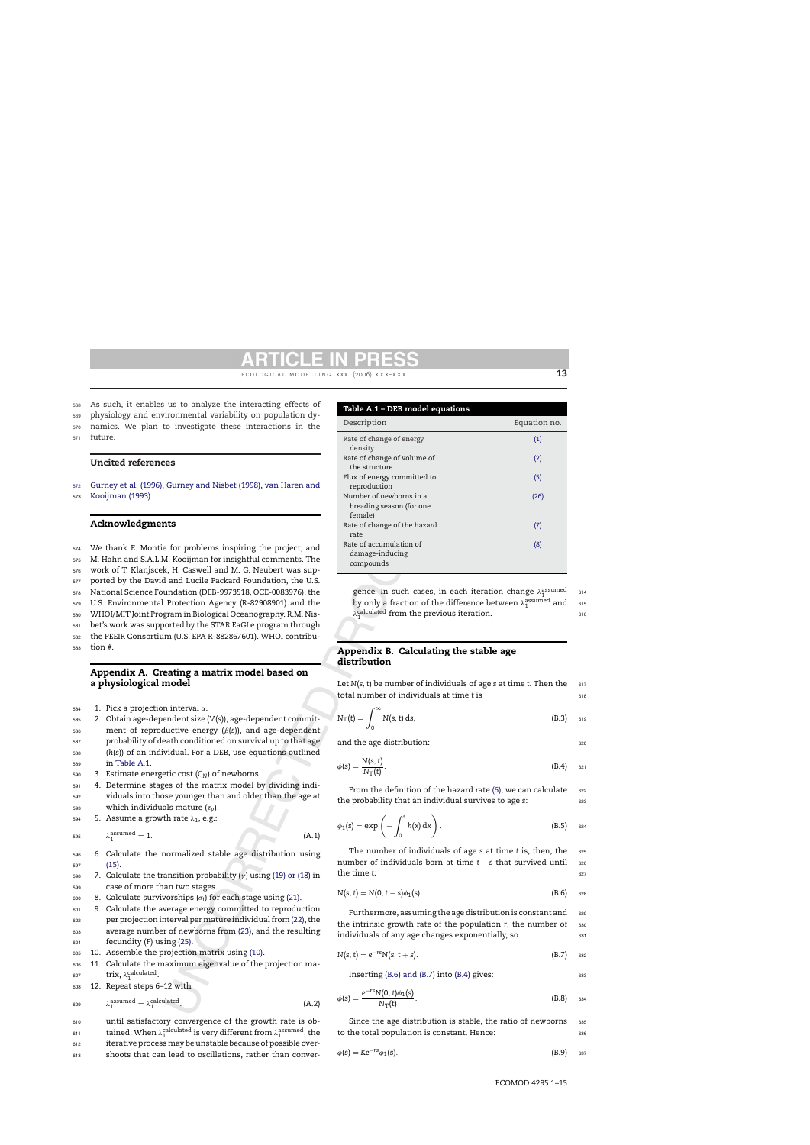$\frac{13}{13}$ 

<span id="page-12-0"></span><sup>568</sup> As such, it enables us to analyze the interacting effects of

<sup>569</sup> physiology and environmental variability on population dy-

<sup>570</sup> namics. We plan to investigate these interactions in the

<sup>571</sup> future.

# **Uncited references**

<sup>572</sup> [Gurney et al. \(1996\), Gurney and Nisbet \(1998\), van Haren and](#page-13-0) <sup>573</sup> Kooijman [\(1993\)](#page-13-0)

### **Acknowledgments**

**Example 15**<br>
Example the project, and<br>
the for problems inspiring the project, and<br> *K. K. Cosiynan for insightful comments.* The state of accumulation<br> *K.* K. Caswell and M. G. Neubert was sup-<br>
and Lucle Pecketid Tout We thank E. Montie for problems inspiring the project, and M. Hahn and S.A.L.M. Kooijman for insightful comments. The work of T. Klanjscek, H. Caswell and M. G. Neubert was supported by the David and Lucile Packard Foundation, the U.S. National Science Foundation (DEB-9973518, OCE-0083976), the U.S. Environmental Protection Agency (R-82908901) and the WHOI/MIT Joint Program in Biological Oceanography. R.M. Nis- bet's work was supported by the STAR EaGLe program through the PEEIR Consortium (U.S. EPA R-882867601). WHOI contribu- $583$  tion #

# **Appendix A. Creating a matrix model based on a physiological model**

- $584$  1. Pick a projection interval  $\alpha$ .
- 2. Obtain age-dependent size  $(V(s))$ , age-dependent commit- $586$  ment of reproductive energy ( $\beta$ (s)), and age-dependent <sup>587</sup> probability of death conditioned on survival up to that age <sup>588</sup> (h(s)) of an individual. For a DEB, use equations outlined <sup>589</sup> in Table A.1.
- 590 3. Estimate energetic cost  $(C_N)$  of newborns.
- <sup>591</sup> 4. Determine stages of the matrix model by dividing indi-<sup>592</sup> viduals into those younger than and older than the age at 593 which individuals mature  $(\tau_p)$ .
- 594 5. Assume a growth rate  $\lambda_1$ , e.g.:

 $\lambda_1^{\text{assumed}} = 1.$  (A.1)

- <sup>596</sup> 6. Calculate the normalized stable age distribution using <sup>597</sup> [\(15\).](#page-3-0)
- 598 7. Calculate the transition probability ( $\gamma$ ) using (19) or (18) in case of more than two stages.
- 600 8. Calculate survivorships  $(\sigma_i)$  for each stage using (21).
- <sup>601</sup> 9. Calculate the average energy committed to reproduction <sup>602</sup> per projection interval per mature individual from (22), the <sup>603</sup> average number of newborns from (23), and the resulting <sup>604</sup> fecundity (F) using (25).
- <sup>605</sup> 10. Assemble the projection matrix using (10).
- <sup>606</sup> 11. Calculate the maximum eigenvalue of the projection ma-607 **trix,**  $\lambda_1^{\text{calculated}}$ .
- <sup>608</sup> 12. Repeat steps 6–12 with

$$
\lambda_1^{\text{assumed}} = \lambda_1^{\text{calculated}}.\tag{A.2}
$$

<sup>610</sup> until satisfactory convergence of the growth rate is ob-

 $\begin{equation} \epsilon_{\text{1}} \qquad \qquad \text{tained.} \text{ When } \lambda_1^{\text{calculated}} \text{ is very different from } \lambda_1^{\text{assumed}}, \text{ the } \end{equation}$ 

<sup>612</sup> iterative process may be unstable because of possible over-<sup>613</sup> shoots that can lead to oscillations, rather than conver-

| Table A.1 - DEB model equations                                |              |
|----------------------------------------------------------------|--------------|
| Description                                                    | Equation no. |
| Rate of change of energy<br>density                            | (1)          |
| Rate of change of volume of<br>the structure                   | (2)          |
| Flux of energy committed to<br>reproduction                    | (5)          |
| Number of newborns in a<br>breading season (for one<br>female) | (26)         |
| Rate of change of the hazard<br>rate                           | (7)          |
| Rate of accumulation of<br>damage-inducing<br>compounds        | (8)          |

gence. In such cases, in each iteration change  $\lambda_1^{\rm assumed}$  614 by only a fraction of the difference between  $\lambda_1^{\rm assumed}$  and  $\quad$  615  $\lambda_1^{\rm calculated}$  from the previous iteration.  $\epsilon_1$ 

# **Appendix B. Calculating the stable age distribution**

Let  $N(s, t)$  be number of individuals of age  $s$  at time  $t$ . Then the  $617$ total number of individuals at time *t* is **618** 

$$
N_{\rm T}(t) = \int_0^\infty N(s, t) \, ds,\tag{B.3}
$$

and the age distribution: 620

$$
\phi(s) = \frac{N(s, t)}{N_T(t)}.\tag{B.4}
$$

From the definition of the hazard rate  $(6)$ , we can calculate 622 the probability that an individual survives to age *s*: **623** 

$$
\phi_1(s) = \exp\left(-\int_0^s h(x) dx\right).
$$
 (B.5) 624

The number of individuals of age *s* at time *t* is, then, the 625 number of individuals born at time  $t - s$  that survived until  $626$ the time *t*: 627

$$
N(s, t) = N(0, t - s)\phi_1(s).
$$
 (B.6) 628

Furthermore, assuming the age distribution is constant and  $629$ the intrinsic growth rate of the population  $r$ , the number of  $630$  $individuals$  of any age changes exponentially, so  $631$ 

$$
N(s, t) = e^{-rs} N(s, t + s).
$$
 (B.7) 632

Inserting  $(B.6)$  and  $(B.7)$  into  $(B.4)$  gives: 633

$$
\phi(s) = \frac{e^{-rs}N(0, t)\phi_1(s)}{N_T(t)}.
$$
\n(B.8) 634

Since the age distribution is stable, the ratio of newborns 635 to the total population is constant. Hence:  $\frac{636}{636}$ 

$$
\phi(s) = Ke^{-rs}\phi_1(s). \tag{B.9}
$$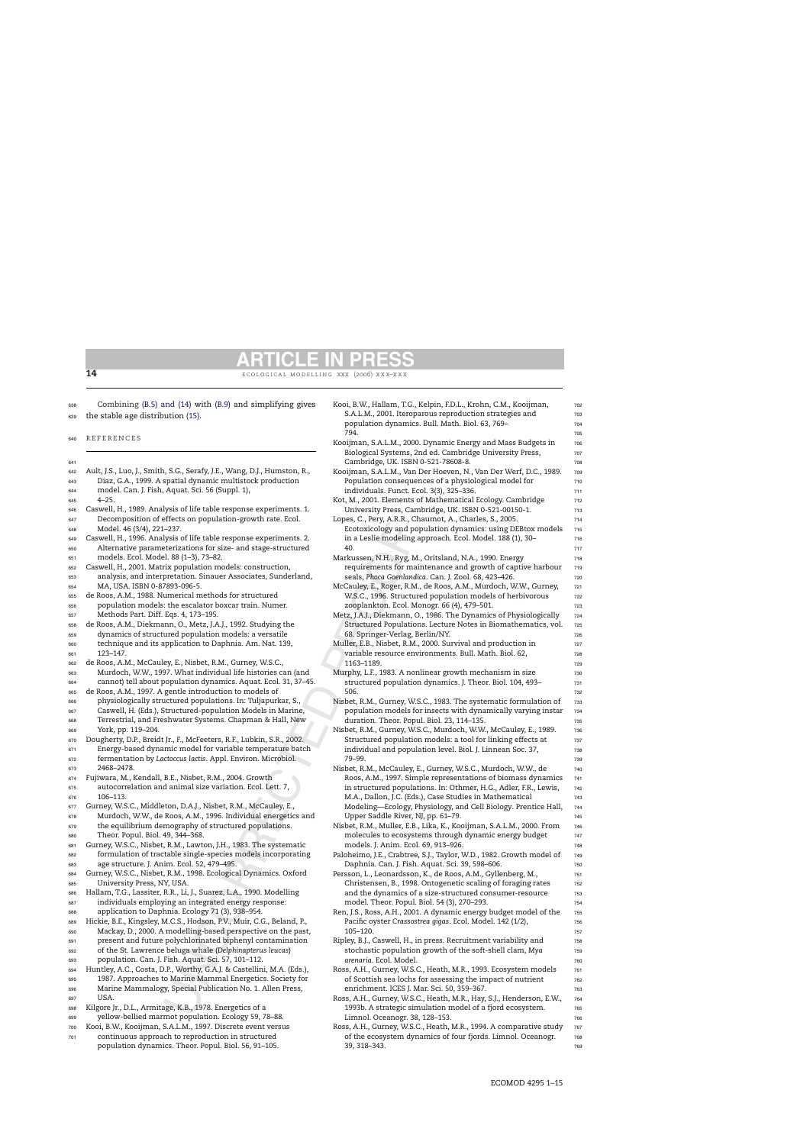<span id="page-13-0"></span>**14 e** cological modelling xxx (2006) x x x–x x x

| 638<br>639 | Combining (B.5) and (14) with (B.9) and simplifying gives<br>the stable age distribution (15).                                   | Kooi, B.W., Hallam, T.G., Kelpin, F.D.L., Krohn, C.M., Kooijman,<br>S.A.L.M., 2001. Iteroparous reproduction strategies and<br>population dynamics. Bull. Math. Biol. 63, 769- | 702<br>703<br>704 |
|------------|----------------------------------------------------------------------------------------------------------------------------------|--------------------------------------------------------------------------------------------------------------------------------------------------------------------------------|-------------------|
| 640        | REFERENCES                                                                                                                       | 794.                                                                                                                                                                           | 705               |
|            |                                                                                                                                  | Kooijman, S.A.L.M., 2000. Dynamic Energy and Mass Budgets in<br>Biological Systems, 2nd ed. Cambridge University Press,                                                        | 706<br>707        |
| 641<br>642 | Ault, J.S., Luo, J., Smith, S.G., Serafy, J.E., Wang, D.J., Humston, R.,                                                         | Cambridge, UK. ISBN 0-521-78608-8.<br>Kooijman, S.A.L.M., Van Der Hoeven, N., Van Der Werf, D.C., 1989.                                                                        | 708<br>709        |
| 643        | Diaz, G.A., 1999. A spatial dynamic multistock production                                                                        | Population consequences of a physiological model for                                                                                                                           | 710               |
| 644        | model. Can. J. Fish, Aquat. Sci. 56 (Suppl. 1),                                                                                  | individuals. Funct. Ecol. 3(3), 325-336.                                                                                                                                       | 711               |
| 645        | $4 - 25.$                                                                                                                        | Kot, M., 2001. Elements of Mathematical Ecology. Cambridge                                                                                                                     | 712               |
| 646        | Caswell, H., 1989. Analysis of life table response experiments. 1.                                                               | University Press, Cambridge, UK. ISBN 0-521-00150-1.                                                                                                                           | 713               |
| 647        | Decomposition of effects on population-growth rate. Ecol.                                                                        | Lopes, C., Pery, A.R.R., Chaumot, A., Charles, S., 2005.                                                                                                                       | 714               |
| 648        | Model. 46 (3/4), 221-237.                                                                                                        | Ecotoxicology and population dynamics: using DEBtox models                                                                                                                     | 715               |
| 649        | Caswell, H., 1996. Analysis of life table response experiments. 2.                                                               | in a Leslie modeling approach. Ecol. Model. 188 (1), 30-                                                                                                                       | 716               |
| 650        | Alternative parameterizations for size- and stage-structured                                                                     | 40.                                                                                                                                                                            | 717               |
| 651        | models. Ecol. Model. 88 (1-3), 73-82.                                                                                            | Markussen, N.H., Ryg, M., Oritsland, N.A., 1990. Energy                                                                                                                        | 718               |
| 652        | Caswell, H., 2001. Matrix population models: construction,                                                                       | requirements for maintenance and growth of captive harbour                                                                                                                     | 719               |
| 653        | analysis, and interpretation. Sinauer Associates, Sunderland,                                                                    | seals, Phoca Goenlandica. Can. J. Zool. 68, 423-426.                                                                                                                           | 720               |
| 654        | MA, USA. ISBN 0-87893-096-5.<br>de Roos, A.M., 1988. Numerical methods for structured                                            | McCauley, E., Roger, R.M., de Roos, A.M., Murdoch, W.W., Gurney,                                                                                                               | 721               |
| 655        | population models: the escalator boxcar train. Numer.                                                                            | W.S.C., 1996. Structured population models of herbivorous                                                                                                                      | 722               |
| 656<br>657 | Methods Part. Diff. Eqs. 4, 173-195.                                                                                             | zooplankton. Ecol. Monogr. 66 (4), 479-501.<br>Metz, J.A.J., Diekmann, O., 1986. The Dynamics of Physiologically                                                               | 723               |
| 658        | de Roos, A.M., Diekmann, O., Metz, J.A.J., 1992. Studying the                                                                    | Structured Populations. Lecture Notes in Biomathematics, vol.                                                                                                                  | 724<br>725        |
| 659        | dynamics of structured population models: a versatile                                                                            | 68. Springer-Verlag, Berlin/NY.                                                                                                                                                | 726               |
| 660        | technique and its application to Daphnia. Am. Nat. 139,                                                                          | Muller, E.B., Nisbet, R.M., 2000. Survival and production in                                                                                                                   | 727               |
| 661        | $123 - 147$ .                                                                                                                    | variable resource environments. Bull. Math. Biol. 62,                                                                                                                          | 728               |
| 662        | de Roos, A.M., McCauley, E., Nisbet, R.M., Gurney, W.S.C.,                                                                       | 1163-1189.                                                                                                                                                                     | 729               |
| 663        | Murdoch, W.W., 1997. What individual life histories can (and                                                                     | Murphy, L.F., 1983. A nonlinear growth mechanism in size                                                                                                                       | 730               |
| 664        | cannot) tell about population dynamics. Aquat. Ecol. 31, 37-45.                                                                  | structured population dynamics. J. Theor. Biol. 104, 493-                                                                                                                      | 731               |
| 665        | de Roos, A.M., 1997. A gentle introduction to models of                                                                          | 506.                                                                                                                                                                           | 732               |
| 666        | physiologically structured populations. In: Tuljapurkar, S.,                                                                     | Nisbet, R.M., Gurney, W.S.C., 1983. The systematic formulation of                                                                                                              | 733               |
| 667        | Caswell, H. (Eds.), Structured-population Models in Marine,                                                                      | population models for insects with dynamically varying instar                                                                                                                  | 734               |
| 668        | Terrestrial, and Freshwater Systems. Chapman & Hall, New                                                                         | duration. Theor. Popul. Biol. 23, 114-135.                                                                                                                                     | 735               |
| 669        | York, pp. 119-204.<br>Dougherty, D.P., Breidt Jr., F., McFeeters, R.F., Lubkin, S.R., 2002.                                      | Nisbet, R.M., Gurney, W.S.C., Murdoch, W.W., McCauley, E., 1989.                                                                                                               | 736               |
| 670<br>671 | Energy-based dynamic model for variable temperature batch                                                                        | Structured population models: a tool for linking effects at<br>individual and population level. Biol. J. Linnean Soc. 37,                                                      | 737<br>738        |
| 672        | fermentation by Lactoccus lactis. Appl. Environ. Microbiol.                                                                      | 79-99.                                                                                                                                                                         | 739               |
| 673        | 2468-2478.                                                                                                                       | Nisbet, R.M., McCauley, E., Gurney, W.S.C., Murdoch, W.W., de                                                                                                                  | 740               |
| 674        | Fujiwara, M., Kendall, B.E., Nisbet, R.M., 2004. Growth                                                                          | Roos, A.M., 1997. Simple representations of biomass dynamics                                                                                                                   | 741               |
| 675        | autocorrelation and animal size variation. Ecol. Lett. 7,                                                                        | in structured populations. In: Othmer, H.G., Adler, F.R., Lewis,                                                                                                               | 742               |
| 676        | 106-113.                                                                                                                         | M.A., Dallon, J.C. (Eds.), Case Studies in Mathematical                                                                                                                        | 743               |
| 677        | Gurney, W.S.C., Middleton, D.A.J., Nisbet, R.M., McCauley, E.,                                                                   | Modeling-Ecology, Physiology, and Cell Biology. Prentice Hall,                                                                                                                 | 744               |
| 678        | Murdoch, W.W., de Roos, A.M., 1996. Individual energetics and                                                                    | Upper Saddle River, NJ, pp. 61-79.                                                                                                                                             | 745               |
| 679        | the equilibrium demography of structured populations.                                                                            | Nisbet, R.M., Muller, E.B., Lika, K., Kooijman, S.A.L.M., 2000. From                                                                                                           | 746               |
| 680        | Theor. Popul. Biol. 49, 344-368.                                                                                                 | molecules to ecosystems through dynamic energy budget                                                                                                                          | 747               |
| 681        | Gurney, W.S.C., Nisbet, R.M., Lawton, J.H., 1983. The systematic<br>formulation of tractable single-species models incorporating | models. J. Anim. Ecol. 69, 913-926.<br>Paloheimo, J.E., Crabtree, S.J., Taylor, W.D., 1982. Growth model of                                                                    | 748               |
| 682<br>683 | age structure. J. Anim. Ecol. 52, 479-495.                                                                                       | Daphnia. Can. J. Fish. Aquat. Sci. 39, 598-606.                                                                                                                                | 749<br>750        |
| 684        | Gurney, W.S.C., Nisbet, R.M., 1998. Ecological Dynamics. Oxford                                                                  | Persson, L., Leonardsson, K., de Roos, A.M., Gyllenberg, M.,                                                                                                                   | 751               |
| 685        | University Press, NY, USA.                                                                                                       | Christensen, B., 1998. Ontogenetic scaling of foraging rates                                                                                                                   | 752               |
| 686        | Hallam, T.G., Lassiter, R.R., Li, J., Suarez, L.A., 1990. Modelling                                                              | and the dynamics of a size-structured consumer-resource                                                                                                                        | 753               |
| 687        | individuals employing an integrated energy response:                                                                             | model. Theor. Popul. Biol. 54 (3), 270-293.                                                                                                                                    | 754               |
| 688        | application to Daphnia. Ecology 71 (3), 938-954.                                                                                 | Ren, J.S., Ross, A.H., 2001. A dynamic energy budget model of the                                                                                                              | 755               |
| 689        | Hickie, B.E., Kingsley, M.C.S., Hodson, P.V., Muir, C.G., Beland, P.,                                                            | Pacific oyster Crassostrea gigas. Ecol. Model. 142 (1/2),                                                                                                                      | 756               |
| 690        | Mackay, D., 2000. A modelling-based perspective on the past,                                                                     | $105 - 120.$                                                                                                                                                                   | 757               |
| 691        | present and future polychlorinated biphenyl contamination                                                                        | Ripley, B.J., Caswell, H., in press. Recruitment variability and                                                                                                               | 758               |
| 692        | of the St. Lawrence beluga whale (Delphinapterus leucas)                                                                         | stochastic population growth of the soft-shell clam, Mya                                                                                                                       | 759               |
| 693        | population. Can. J. Fish. Aquat. Sci. 57, 101-112.                                                                               | arenaria. Ecol. Model.                                                                                                                                                         | 760               |
| 694        | Huntley, A.C., Costa, D.P., Worthy, G.A.J. & Castellini, M.A. (Eds.),                                                            | Ross, A.H., Gurney, W.S.C., Heath, M.R., 1993. Ecosystem models                                                                                                                | 761               |
| 695<br>696 | 1987. Approaches to Marine Mammal Energetics. Society for<br>Marine Mammalogy, Special Publication No. 1. Allen Press,           | of Scottish sea lochs for assessing the impact of nutrient<br>enrichment. ICES J. Mar. Sci. 50, 359-367.                                                                       | 762               |
| 697        | USA.                                                                                                                             | Ross, A.H., Gurney, W.S.C., Heath, M.R., Hay, S.J., Henderson, E.W.,                                                                                                           | 763<br>764        |
| 698        | Kilgore Jr., D.L., Armitage, K.B., 1978. Energetics of a                                                                         | 1993b. A strategic simulation model of a fjord ecosystem.                                                                                                                      | 765               |
| 699        | yellow-bellied marmot population. Ecology 59, 78-88.                                                                             | Limnol. Oceanogr. 38, 128-153.                                                                                                                                                 | 766               |
| 700        | Kooi, B.W., Kooijman, S.A.L.M., 1997. Discrete event versus                                                                      | Ross, A.H., Gurney, W.S.C., Heath, M.R., 1994. A comparative study                                                                                                             | 767               |
| 701        | continuous approach to reproduction in structured                                                                                | of the ecosystem dynamics of four fjords. Limnol. Oceanogr.                                                                                                                    | 768               |
|            | population dynamics. Theor. Popul. Biol. 56, 91-105.                                                                             | 39, 318-343.                                                                                                                                                                   | 769               |

# reproduction strategies and 703 population dynamics. Bull. Math. Biol. 63, 769– <sup>704</sup> amic Energy and Mass Budgets in 706 I. Cambridge University Press, 2007 koeven, N., Van Der Werf, D.C., 1989. – <sub>709</sub> of a physiological model for **710**  $i$ , 325–336. 711 thematical Ecology. Cambridge 712 ze. UK. ISBN 0-521-00150-1. 713 ot, A., Charles, S., 2005. 714 ion dynamics: using DEBtox models 715 ach. Ecol. Model. 188 (1), 30– 716 sland, N.A., 1990. Energy 718 ance and growth of captive harbour 719 seals, *Phoca Goenlandica*. Can. J. Zool. 68, 423–426. <sup>720</sup> Roos, A.M., Murdoch, W.W., Gurney, 721 pulation models of herbivorous 722 zooplankton. Ecol. Monogr. 66 (4), 479–501. <sup>723</sup> 6. The Dynamics of Physiologically 724 cture Notes in Biomathematics, vol. 725 Muller,  $\sum_{\text{Sup} \sim \text{Sup}(\mathcal{A})}$  and production in  $\sum_{\text{Sup} \sim \text{Sup}(\mathcal{A})}$ nents. Bull. Math. Biol. 62, *728* r growth mechanism in size *7*30 amics. J. Theor. Biol. 104, 493– 731 983. The systematic formulation of 733 ects with dynamically varying instar 734 duration. Theor. Popul. Biol. 23, 114–135. <sup>735</sup> Murdoch, W.W., McCauley, E., 1989. *736* dels: a tool for linking effects at 737 level. Biol. J. Linnean Soc. 37, 738 rney, W.S.C., Murdoch, W.W., de 740 presentations of biomass dynamics 741 In: Othmer, H.G., Adler, F.R., Lewis, 742 se Studies in Mathematical *743* logy, and Cell Biology. Prentice Hall, 744 K., Kooijman, S.A.L.M., 2000. From 746 hrough dynamic energy budget  $\frac{747}{2}$ Paylor, W.D., 1982. Growth model of 749 Daphnia. Can. J. Fish. Aquat. Sci. 39, 598–606. <sup>750</sup> le Roos, A.M., Gyllenberg, M.,  $^{751}$ genetic scaling of foraging rates <sup>752</sup> -structured consumer-resource 753 model. Theor. Popul. Biol. 54 (3), 270–293. <sup>754</sup> rnamic energy budget model of the 755 Pacific oyster *Crassostrea gigas*. Ecol. Model. 142 (1/2), <sup>756</sup> Ripley, B.J., Caswell, H., in press. Recruitment variability and <sup>758</sup> stochastic population growth of the soft-shell clam, *Mya* <sup>759</sup> ath, M.R., 1993. Ecosystem models 761 sessing the impact of nutrient  $\frac{762}{262}$ enrichment. ICES J. Mar. Sci. 50, 359–367. <sup>763</sup> ath, M.R., Hay, S.J., Henderson, E.W., 764 on model of a fjord ecosystem. 765 Ross, M.R., 1994. A comparative study 767 s of four fjords. Limnol. Oceanogr. 768